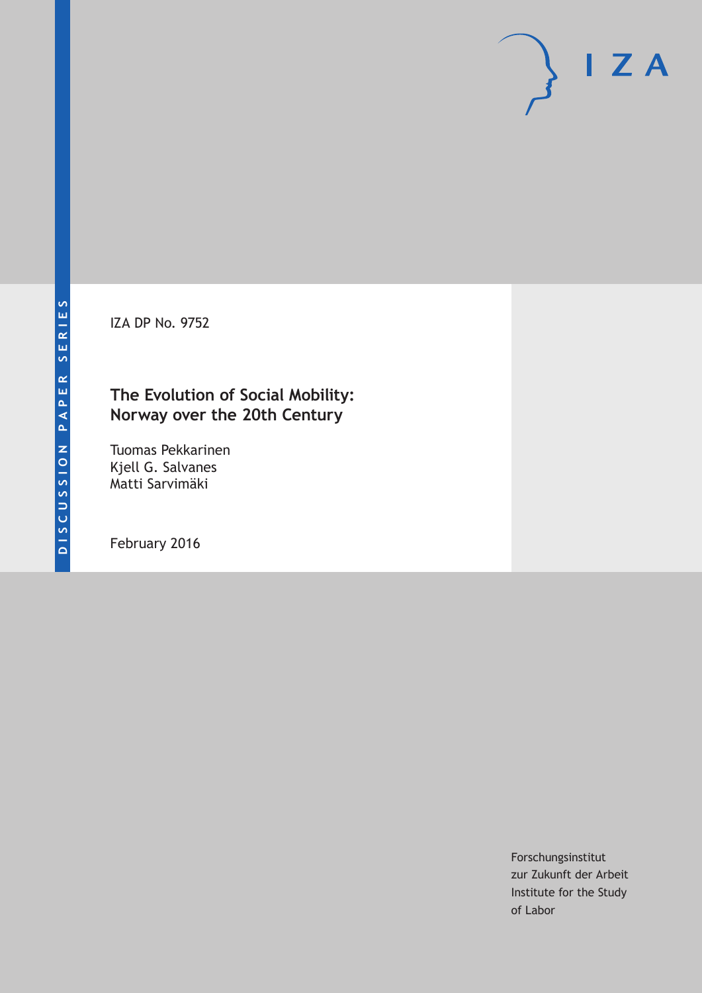IZA DP No. 9752

# **The Evolution of Social Mobility: Norway over the 20th Century**

Tuomas Pekkarinen Kjell G. Salvanes Matti Sarvimäki

February 2016

Forschungsinstitut zur Zukunft der Arbeit Institute for the Study of Labor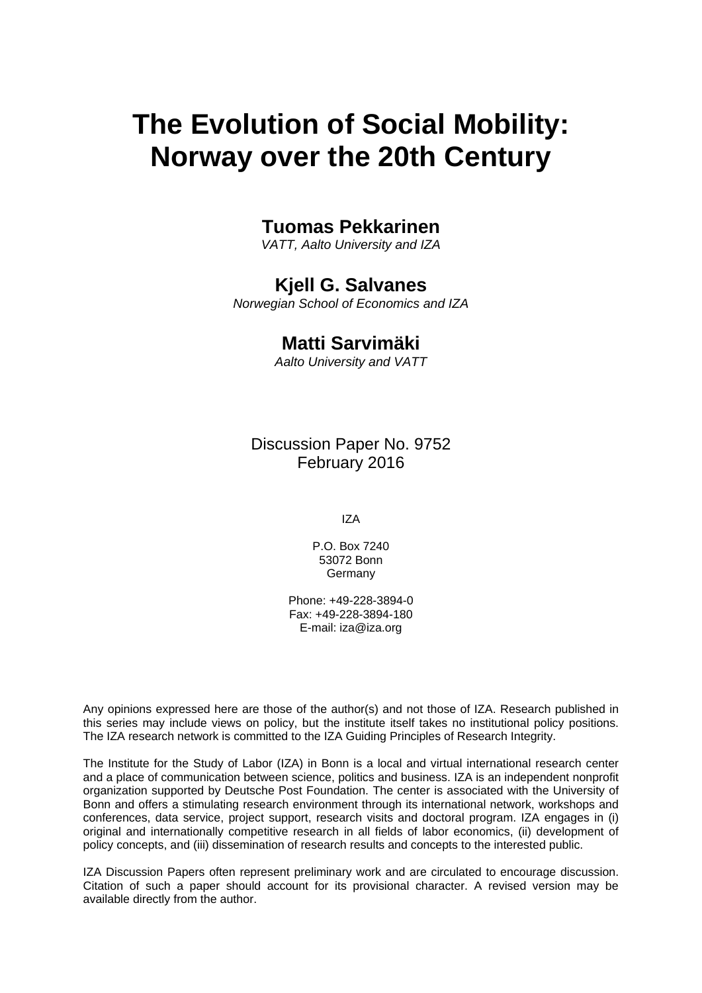# **The Evolution of Social Mobility: Norway over the 20th Century**

### **Tuomas Pekkarinen**

*VATT, Aalto University and IZA* 

# **Kjell G. Salvanes**

*Norwegian School of Economics and IZA* 

### **Matti Sarvimäki**

*Aalto University and VATT*

Discussion Paper No. 9752 February 2016

IZA

P.O. Box 7240 53072 Bonn **Germany** 

Phone: +49-228-3894-0 Fax: +49-228-3894-180 E-mail: iza@iza.org

Any opinions expressed here are those of the author(s) and not those of IZA. Research published in this series may include views on policy, but the institute itself takes no institutional policy positions. The IZA research network is committed to the IZA Guiding Principles of Research Integrity.

The Institute for the Study of Labor (IZA) in Bonn is a local and virtual international research center and a place of communication between science, politics and business. IZA is an independent nonprofit organization supported by Deutsche Post Foundation. The center is associated with the University of Bonn and offers a stimulating research environment through its international network, workshops and conferences, data service, project support, research visits and doctoral program. IZA engages in (i) original and internationally competitive research in all fields of labor economics, (ii) development of policy concepts, and (iii) dissemination of research results and concepts to the interested public.

IZA Discussion Papers often represent preliminary work and are circulated to encourage discussion. Citation of such a paper should account for its provisional character. A revised version may be available directly from the author.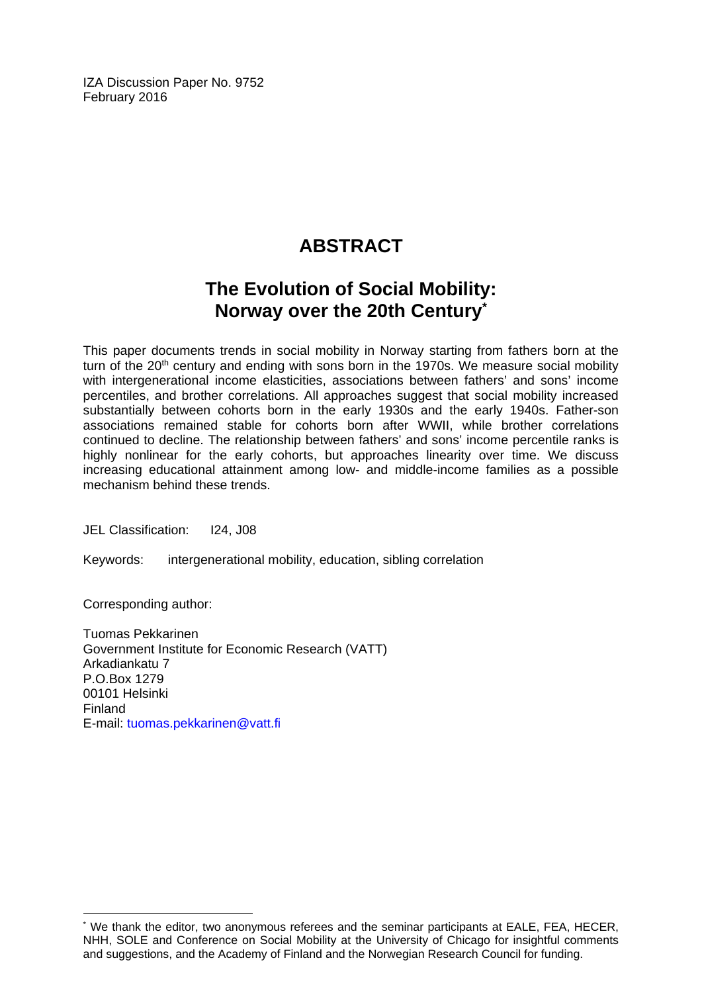IZA Discussion Paper No. 9752 February 2016

# **ABSTRACT**

# **The Evolution of Social Mobility: Norway over the 20th Century\***

This paper documents trends in social mobility in Norway starting from fathers born at the turn of the 20<sup>th</sup> century and ending with sons born in the 1970s. We measure social mobility with intergenerational income elasticities, associations between fathers' and sons' income percentiles, and brother correlations. All approaches suggest that social mobility increased substantially between cohorts born in the early 1930s and the early 1940s. Father-son associations remained stable for cohorts born after WWII, while brother correlations continued to decline. The relationship between fathers' and sons' income percentile ranks is highly nonlinear for the early cohorts, but approaches linearity over time. We discuss increasing educational attainment among low- and middle-income families as a possible mechanism behind these trends.

JEL Classification: I24, J08

Keywords: intergenerational mobility, education, sibling correlation

Corresponding author:

 $\overline{\phantom{a}}$ 

Tuomas Pekkarinen Government Institute for Economic Research (VATT) Arkadiankatu 7 P.O.Box 1279 00101 Helsinki Finland E-mail: tuomas.pekkarinen@vatt.fi

<sup>\*</sup> We thank the editor, two anonymous referees and the seminar participants at EALE, FEA, HECER, NHH, SOLE and Conference on Social Mobility at the University of Chicago for insightful comments and suggestions, and the Academy of Finland and the Norwegian Research Council for funding.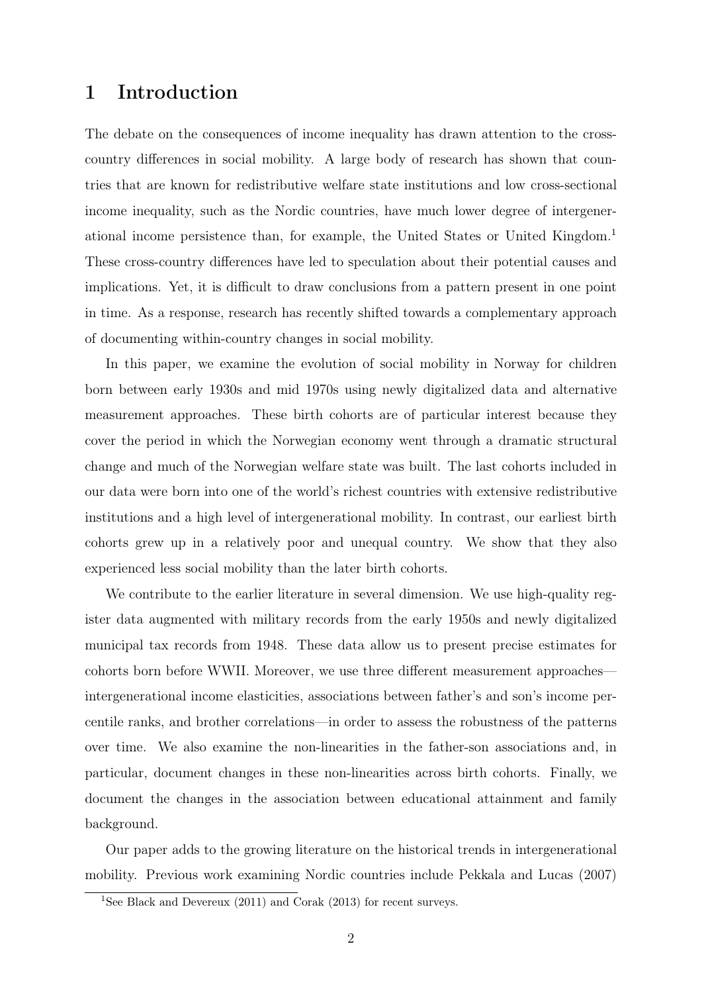# 1 Introduction

The debate on the consequences of income inequality has drawn attention to the crosscountry differences in social mobility. A large body of research has shown that countries that are known for redistributive welfare state institutions and low cross-sectional income inequality, such as the Nordic countries, have much lower degree of intergenerational income persistence than, for example, the United States or United Kingdom.<sup>1</sup> These cross-country differences have led to speculation about their potential causes and implications. Yet, it is difficult to draw conclusions from a pattern present in one point in time. As a response, research has recently shifted towards a complementary approach of documenting within-country changes in social mobility.

In this paper, we examine the evolution of social mobility in Norway for children born between early 1930s and mid 1970s using newly digitalized data and alternative measurement approaches. These birth cohorts are of particular interest because they cover the period in which the Norwegian economy went through a dramatic structural change and much of the Norwegian welfare state was built. The last cohorts included in our data were born into one of the world's richest countries with extensive redistributive institutions and a high level of intergenerational mobility. In contrast, our earliest birth cohorts grew up in a relatively poor and unequal country. We show that they also experienced less social mobility than the later birth cohorts.

We contribute to the earlier literature in several dimension. We use high-quality register data augmented with military records from the early 1950s and newly digitalized municipal tax records from 1948. These data allow us to present precise estimates for cohorts born before WWII. Moreover, we use three different measurement approaches intergenerational income elasticities, associations between father's and son's income percentile ranks, and brother correlations—in order to assess the robustness of the patterns over time. We also examine the non-linearities in the father-son associations and, in particular, document changes in these non-linearities across birth cohorts. Finally, we document the changes in the association between educational attainment and family background.

Our paper adds to the growing literature on the historical trends in intergenerational mobility. Previous work examining Nordic countries include Pekkala and Lucas (2007)

<sup>&</sup>lt;sup>1</sup>See Black and Devereux  $(2011)$  and Corak  $(2013)$  for recent surveys.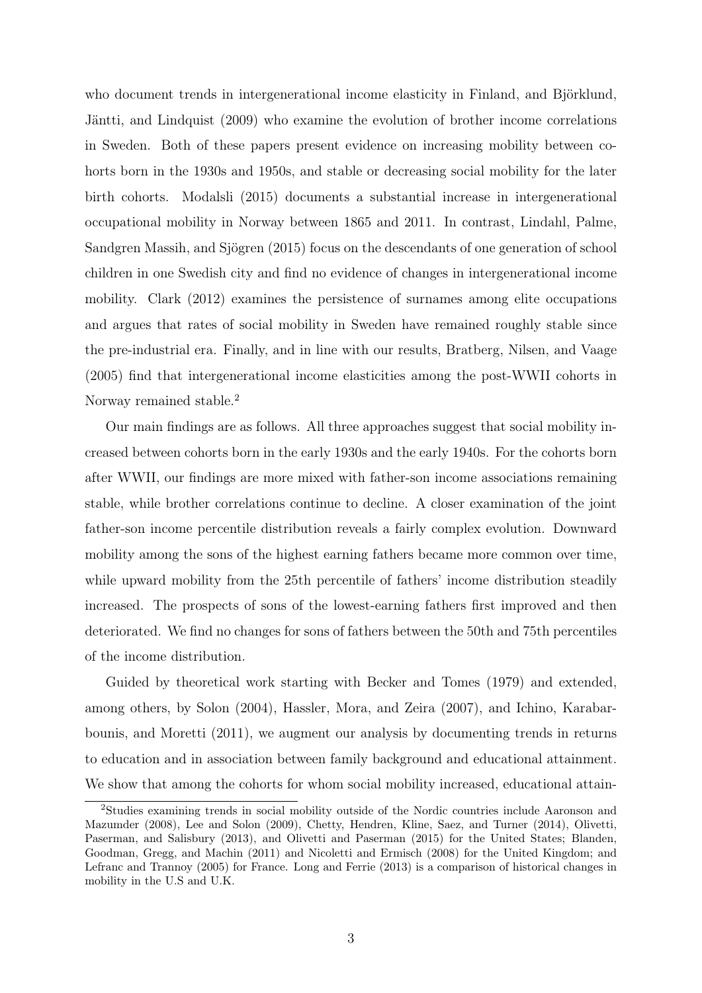who document trends in intergenerational income elasticity in Finland, and Björklund, Jäntti, and Lindquist (2009) who examine the evolution of brother income correlations in Sweden. Both of these papers present evidence on increasing mobility between cohorts born in the 1930s and 1950s, and stable or decreasing social mobility for the later birth cohorts. Modalsli (2015) documents a substantial increase in intergenerational occupational mobility in Norway between 1865 and 2011. In contrast, Lindahl, Palme, Sandgren Massih, and Sjögren (2015) focus on the descendants of one generation of school children in one Swedish city and find no evidence of changes in intergenerational income mobility. Clark (2012) examines the persistence of surnames among elite occupations and argues that rates of social mobility in Sweden have remained roughly stable since the pre-industrial era. Finally, and in line with our results, Bratberg, Nilsen, and Vaage (2005) find that intergenerational income elasticities among the post-WWII cohorts in Norway remained stable.<sup>2</sup>

Our main findings are as follows. All three approaches suggest that social mobility increased between cohorts born in the early 1930s and the early 1940s. For the cohorts born after WWII, our findings are more mixed with father-son income associations remaining stable, while brother correlations continue to decline. A closer examination of the joint father-son income percentile distribution reveals a fairly complex evolution. Downward mobility among the sons of the highest earning fathers became more common over time, while upward mobility from the 25th percentile of fathers' income distribution steadily increased. The prospects of sons of the lowest-earning fathers first improved and then deteriorated. We find no changes for sons of fathers between the 50th and 75th percentiles of the income distribution.

Guided by theoretical work starting with Becker and Tomes (1979) and extended, among others, by Solon (2004), Hassler, Mora, and Zeira (2007), and Ichino, Karabarbounis, and Moretti (2011), we augment our analysis by documenting trends in returns to education and in association between family background and educational attainment. We show that among the cohorts for whom social mobility increased, educational attain-

<sup>2</sup>Studies examining trends in social mobility outside of the Nordic countries include Aaronson and Mazumder (2008), Lee and Solon (2009), Chetty, Hendren, Kline, Saez, and Turner (2014), Olivetti, Paserman, and Salisbury (2013), and Olivetti and Paserman (2015) for the United States; Blanden, Goodman, Gregg, and Machin (2011) and Nicoletti and Ermisch (2008) for the United Kingdom; and Lefranc and Trannoy (2005) for France. Long and Ferrie (2013) is a comparison of historical changes in mobility in the U.S and U.K.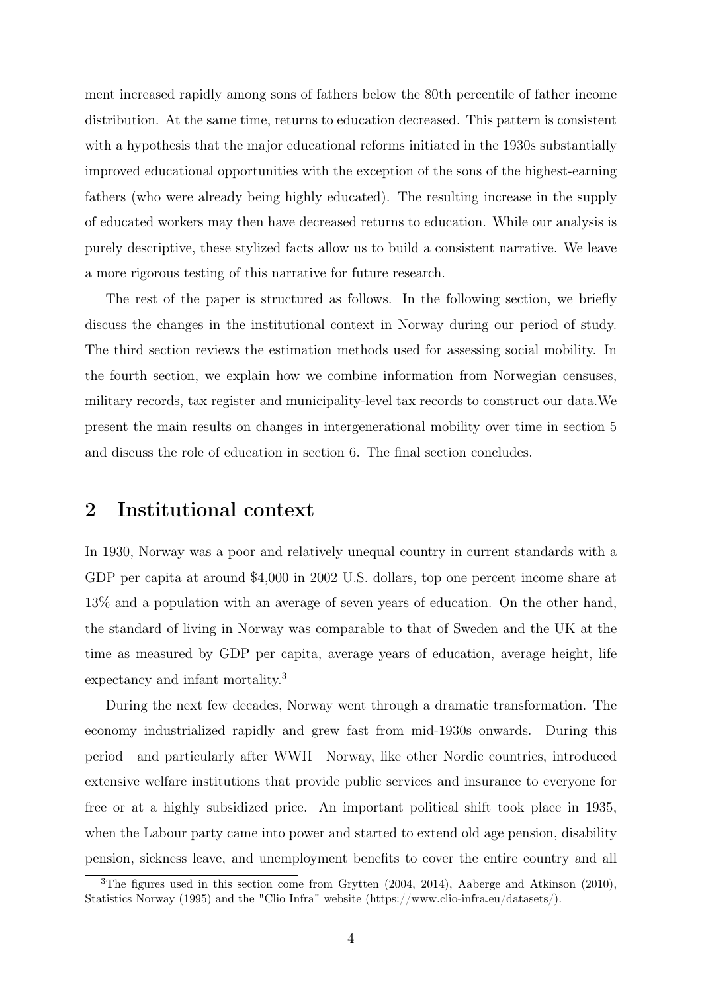ment increased rapidly among sons of fathers below the 80th percentile of father income distribution. At the same time, returns to education decreased. This pattern is consistent with a hypothesis that the major educational reforms initiated in the 1930s substantially improved educational opportunities with the exception of the sons of the highest-earning fathers (who were already being highly educated). The resulting increase in the supply of educated workers may then have decreased returns to education. While our analysis is purely descriptive, these stylized facts allow us to build a consistent narrative. We leave a more rigorous testing of this narrative for future research.

The rest of the paper is structured as follows. In the following section, we briefly discuss the changes in the institutional context in Norway during our period of study. The third section reviews the estimation methods used for assessing social mobility. In the fourth section, we explain how we combine information from Norwegian censuses, military records, tax register and municipality-level tax records to construct our data.We present the main results on changes in intergenerational mobility over time in section 5 and discuss the role of education in section 6. The final section concludes.

### 2 Institutional context

In 1930, Norway was a poor and relatively unequal country in current standards with a GDP per capita at around \$4,000 in 2002 U.S. dollars, top one percent income share at 13% and a population with an average of seven years of education. On the other hand, the standard of living in Norway was comparable to that of Sweden and the UK at the time as measured by GDP per capita, average years of education, average height, life expectancy and infant mortality.<sup>3</sup>

During the next few decades, Norway went through a dramatic transformation. The economy industrialized rapidly and grew fast from mid-1930s onwards. During this period—and particularly after WWII—Norway, like other Nordic countries, introduced extensive welfare institutions that provide public services and insurance to everyone for free or at a highly subsidized price. An important political shift took place in 1935, when the Labour party came into power and started to extend old age pension, disability pension, sickness leave, and unemployment benefits to cover the entire country and all

<sup>&</sup>lt;sup>3</sup>The figures used in this section come from Grytten (2004, 2014), Aaberge and Atkinson (2010), Statistics Norway (1995) and the "Clio Infra" website (https://www.clio-infra.eu/datasets/).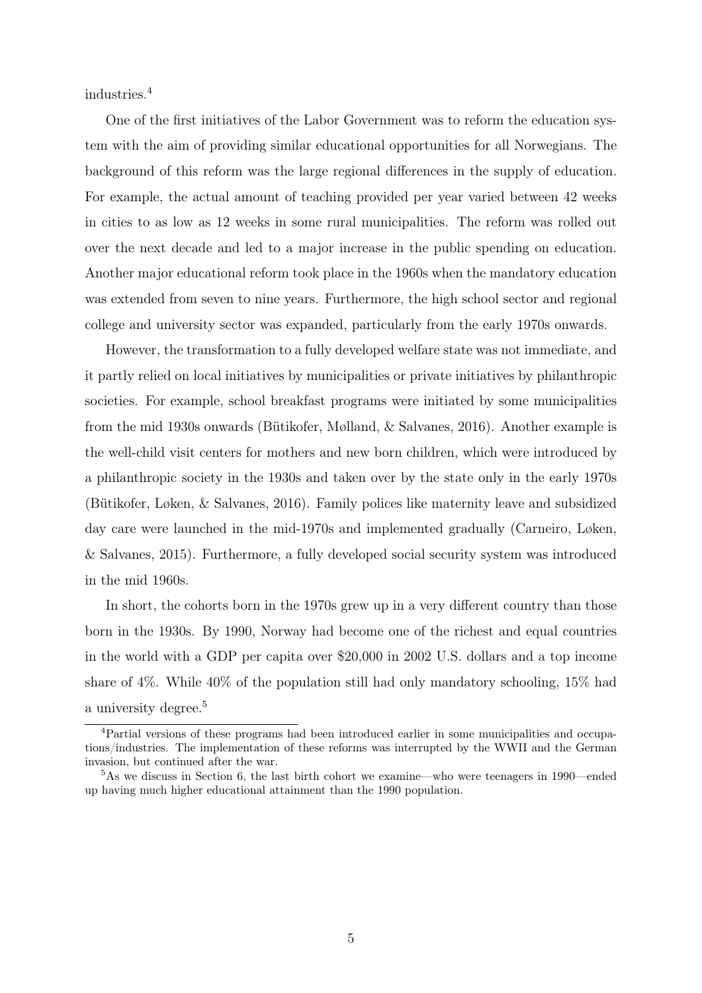industries.<sup>4</sup>

One of the first initiatives of the Labor Government was to reform the education system with the aim of providing similar educational opportunities for all Norwegians. The background of this reform was the large regional differences in the supply of education. For example, the actual amount of teaching provided per year varied between 42 weeks in cities to as low as 12 weeks in some rural municipalities. The reform was rolled out over the next decade and led to a major increase in the public spending on education. Another major educational reform took place in the 1960s when the mandatory education was extended from seven to nine years. Furthermore, the high school sector and regional college and university sector was expanded, particularly from the early 1970s onwards.

However, the transformation to a fully developed welfare state was not immediate, and it partly relied on local initiatives by municipalities or private initiatives by philanthropic societies. For example, school breakfast programs were initiated by some municipalities from the mid 1930s onwards (Bütikofer, Mølland, & Salvanes, 2016). Another example is the well-child visit centers for mothers and new born children, which were introduced by a philanthropic society in the 1930s and taken over by the state only in the early 1970s (Bütikofer, Løken, & Salvanes, 2016). Family polices like maternity leave and subsidized day care were launched in the mid-1970s and implemented gradually (Carneiro, Løken, & Salvanes, 2015). Furthermore, a fully developed social security system was introduced in the mid 1960s.

In short, the cohorts born in the 1970s grew up in a very different country than those born in the 1930s. By 1990, Norway had become one of the richest and equal countries in the world with a GDP per capita over \$20,000 in 2002 U.S. dollars and a top income share of 4%. While 40% of the population still had only mandatory schooling, 15% had a university degree.<sup>5</sup>

<sup>4</sup>Partial versions of these programs had been introduced earlier in some municipalities and occupations/industries. The implementation of these reforms was interrupted by the WWII and the German invasion, but continued after the war.

<sup>5</sup>As we discuss in Section 6, the last birth cohort we examine—who were teenagers in 1990—ended up having much higher educational attainment than the 1990 population.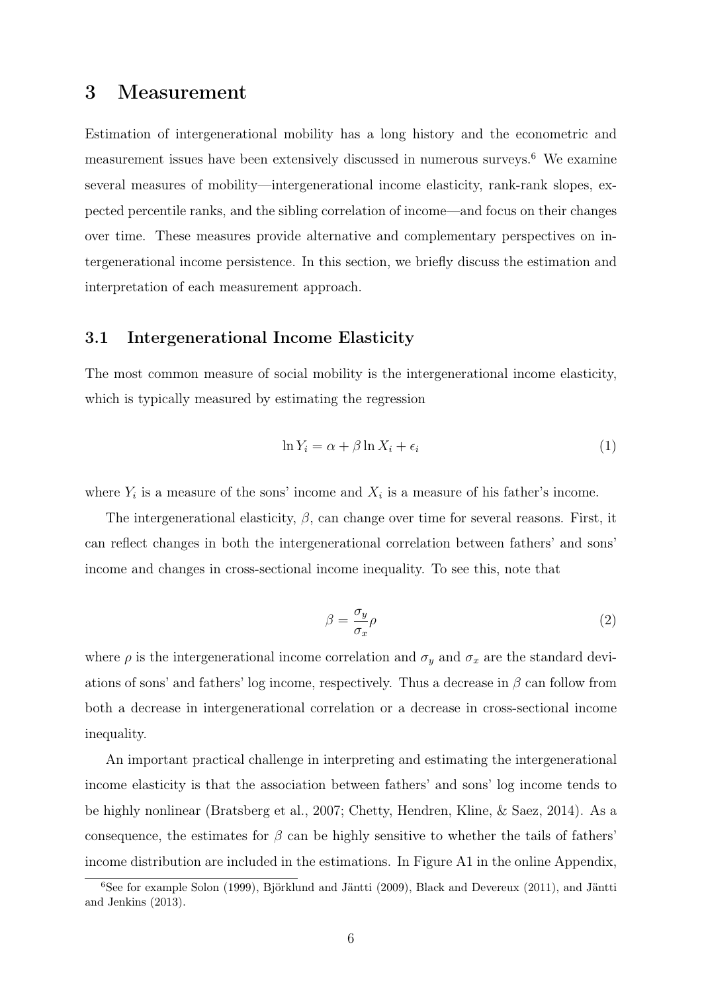### 3 Measurement

Estimation of intergenerational mobility has a long history and the econometric and measurement issues have been extensively discussed in numerous surveys.<sup>6</sup> We examine several measures of mobility—intergenerational income elasticity, rank-rank slopes, expected percentile ranks, and the sibling correlation of income—and focus on their changes over time. These measures provide alternative and complementary perspectives on intergenerational income persistence. In this section, we briefly discuss the estimation and interpretation of each measurement approach.

#### 3.1 Intergenerational Income Elasticity

The most common measure of social mobility is the intergenerational income elasticity, which is typically measured by estimating the regression

$$
\ln Y_i = \alpha + \beta \ln X_i + \epsilon_i \tag{1}
$$

where  $Y_i$  is a measure of the sons' income and  $X_i$  is a measure of his father's income.

The intergenerational elasticity,  $\beta$ , can change over time for several reasons. First, it can reflect changes in both the intergenerational correlation between fathers' and sons' income and changes in cross-sectional income inequality. To see this, note that

$$
\beta = \frac{\sigma_y}{\sigma_x} \rho \tag{2}
$$

where  $\rho$  is the intergenerational income correlation and  $\sigma_y$  and  $\sigma_x$  are the standard deviations of sons' and fathers' log income, respectively. Thus a decrease in  $\beta$  can follow from both a decrease in intergenerational correlation or a decrease in cross-sectional income inequality.

An important practical challenge in interpreting and estimating the intergenerational income elasticity is that the association between fathers' and sons' log income tends to be highly nonlinear (Bratsberg et al., 2007; Chetty, Hendren, Kline, & Saez, 2014). As a consequence, the estimates for  $\beta$  can be highly sensitive to whether the tails of fathers' income distribution are included in the estimations. In Figure A1 in the online Appendix,

<sup>6</sup>See for example Solon (1999), Björklund and Jäntti (2009), Black and Devereux (2011), and Jäntti and Jenkins (2013).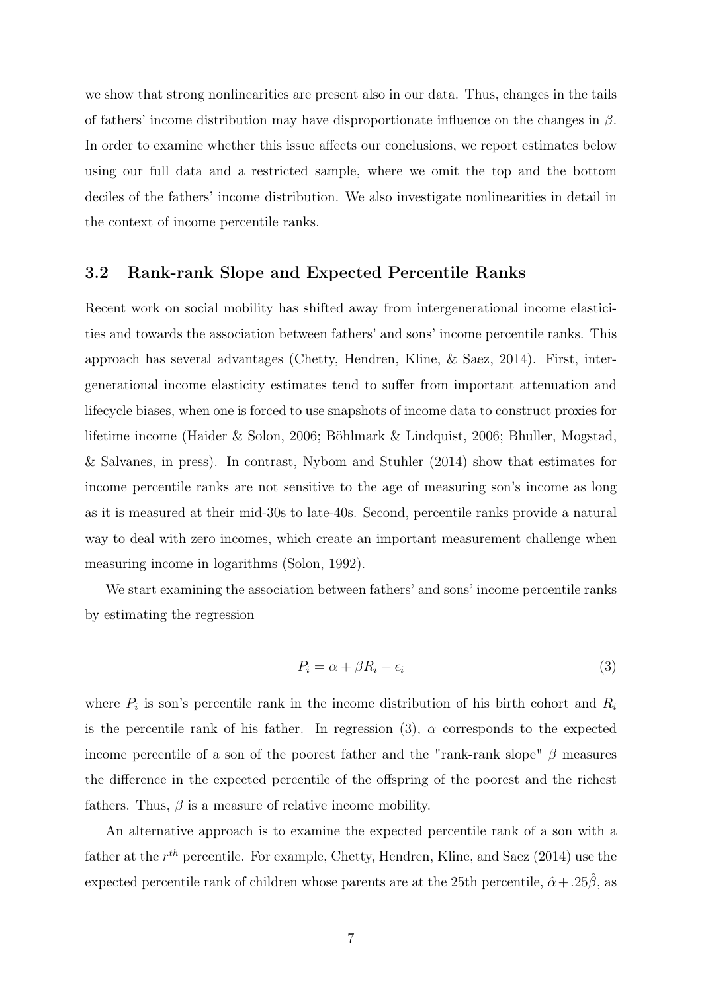we show that strong nonlinearities are present also in our data. Thus, changes in the tails of fathers' income distribution may have disproportionate influence on the changes in  $\beta$ . In order to examine whether this issue affects our conclusions, we report estimates below using our full data and a restricted sample, where we omit the top and the bottom deciles of the fathers' income distribution. We also investigate nonlinearities in detail in the context of income percentile ranks.

#### 3.2 Rank-rank Slope and Expected Percentile Ranks

Recent work on social mobility has shifted away from intergenerational income elasticities and towards the association between fathers' and sons' income percentile ranks. This approach has several advantages (Chetty, Hendren, Kline, & Saez, 2014). First, intergenerational income elasticity estimates tend to suffer from important attenuation and lifecycle biases, when one is forced to use snapshots of income data to construct proxies for lifetime income (Haider & Solon, 2006; Böhlmark & Lindquist, 2006; Bhuller, Mogstad, & Salvanes, in press). In contrast, Nybom and Stuhler (2014) show that estimates for income percentile ranks are not sensitive to the age of measuring son's income as long as it is measured at their mid-30s to late-40s. Second, percentile ranks provide a natural way to deal with zero incomes, which create an important measurement challenge when measuring income in logarithms (Solon, 1992).

We start examining the association between fathers' and sons' income percentile ranks by estimating the regression

$$
P_i = \alpha + \beta R_i + \epsilon_i \tag{3}
$$

where  $P_i$  is son's percentile rank in the income distribution of his birth cohort and  $R_i$ is the percentile rank of his father. In regression (3),  $\alpha$  corresponds to the expected income percentile of a son of the poorest father and the "rank-rank slope"  $\beta$  measures the difference in the expected percentile of the offspring of the poorest and the richest fathers. Thus,  $\beta$  is a measure of relative income mobility.

An alternative approach is to examine the expected percentile rank of a son with a father at the  $r^{th}$  percentile. For example, Chetty, Hendren, Kline, and Saez (2014) use the expected percentile rank of children whose parents are at the 25th percentile,  $\hat{\alpha} + .25\hat{\beta}$ , as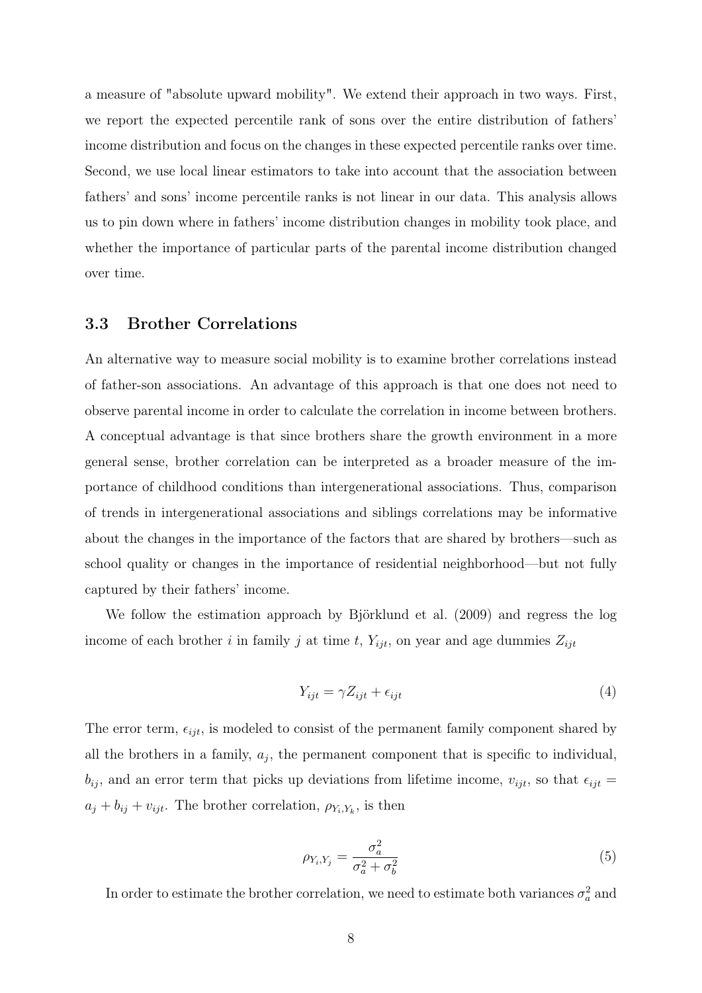a measure of "absolute upward mobility". We extend their approach in two ways. First, we report the expected percentile rank of sons over the entire distribution of fathers' income distribution and focus on the changes in these expected percentile ranks over time. Second, we use local linear estimators to take into account that the association between fathers' and sons' income percentile ranks is not linear in our data. This analysis allows us to pin down where in fathers' income distribution changes in mobility took place, and whether the importance of particular parts of the parental income distribution changed over time.

#### 3.3 Brother Correlations

An alternative way to measure social mobility is to examine brother correlations instead of father-son associations. An advantage of this approach is that one does not need to observe parental income in order to calculate the correlation in income between brothers. A conceptual advantage is that since brothers share the growth environment in a more general sense, brother correlation can be interpreted as a broader measure of the importance of childhood conditions than intergenerational associations. Thus, comparison of trends in intergenerational associations and siblings correlations may be informative about the changes in the importance of the factors that are shared by brothers—such as school quality or changes in the importance of residential neighborhood—but not fully captured by their fathers' income.

We follow the estimation approach by Björklund et al. (2009) and regress the log income of each brother i in family j at time t,  $Y_{ijt}$ , on year and age dummies  $Z_{ijt}$ 

$$
Y_{ijt} = \gamma Z_{ijt} + \epsilon_{ijt} \tag{4}
$$

The error term,  $\epsilon_{ijt}$ , is modeled to consist of the permanent family component shared by all the brothers in a family,  $a_j$ , the permanent component that is specific to individual,  $b_{ij}$ , and an error term that picks up deviations from lifetime income,  $v_{ijt}$ , so that  $\epsilon_{ijt}$  =  $a_j + b_{ij} + v_{ijt}$ . The brother correlation,  $\rho_{Y_i, Y_k}$ , is then

$$
\rho_{Y_i, Y_j} = \frac{\sigma_a^2}{\sigma_a^2 + \sigma_b^2} \tag{5}
$$

In order to estimate the brother correlation, we need to estimate both variances  $\sigma_a^2$  and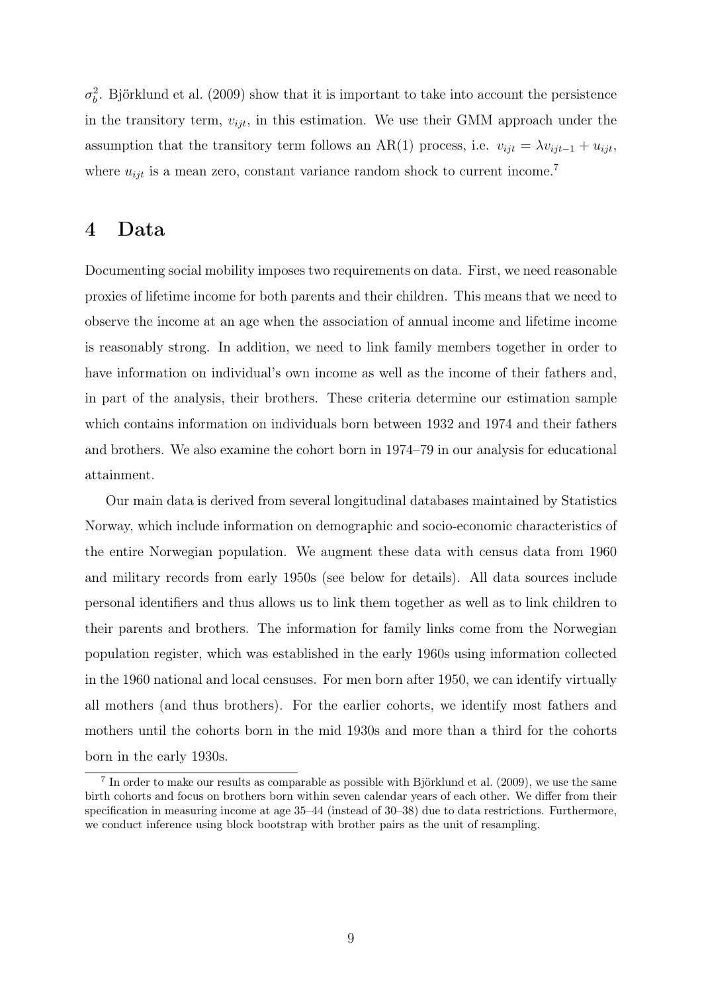$\sigma_b^2$ . Björklund et al. (2009) show that it is important to take into account the persistence in the transitory term,  $v_{ijt}$ , in this estimation. We use their GMM approach under the assumption that the transitory term follows an AR(1) process, i.e.  $v_{ijt} = \lambda v_{ijt-1} + u_{ijt}$ , where  $u_{ijt}$  is a mean zero, constant variance random shock to current income.<sup>7</sup>

### 4 Data

Documenting social mobility imposes two requirements on data. First, we need reasonable proxies of lifetime income for both parents and their children. This means that we need to observe the income at an age when the association of annual income and lifetime income is reasonably strong. In addition, we need to link family members together in order to have information on individual's own income as well as the income of their fathers and, in part of the analysis, their brothers. These criteria determine our estimation sample which contains information on individuals born between 1932 and 1974 and their fathers and brothers. We also examine the cohort born in 1974–79 in our analysis for educational attainment.

Our main data is derived from several longitudinal databases maintained by Statistics Norway, which include information on demographic and socio-economic characteristics of the entire Norwegian population. We augment these data with census data from 1960 and military records from early 1950s (see below for details). All data sources include personal identifiers and thus allows us to link them together as well as to link children to their parents and brothers. The information for family links come from the Norwegian population register, which was established in the early 1960s using information collected in the 1960 national and local censuses. For men born after 1950, we can identify virtually all mothers (and thus brothers). For the earlier cohorts, we identify most fathers and mothers until the cohorts born in the mid 1930s and more than a third for the cohorts born in the early 1930s.

<sup>&</sup>lt;sup>7</sup> In order to make our results as comparable as possible with Björklund et al. (2009), we use the same birth cohorts and focus on brothers born within seven calendar years of each other. We differ from their specification in measuring income at age 35–44 (instead of 30–38) due to data restrictions. Furthermore, we conduct inference using block bootstrap with brother pairs as the unit of resampling.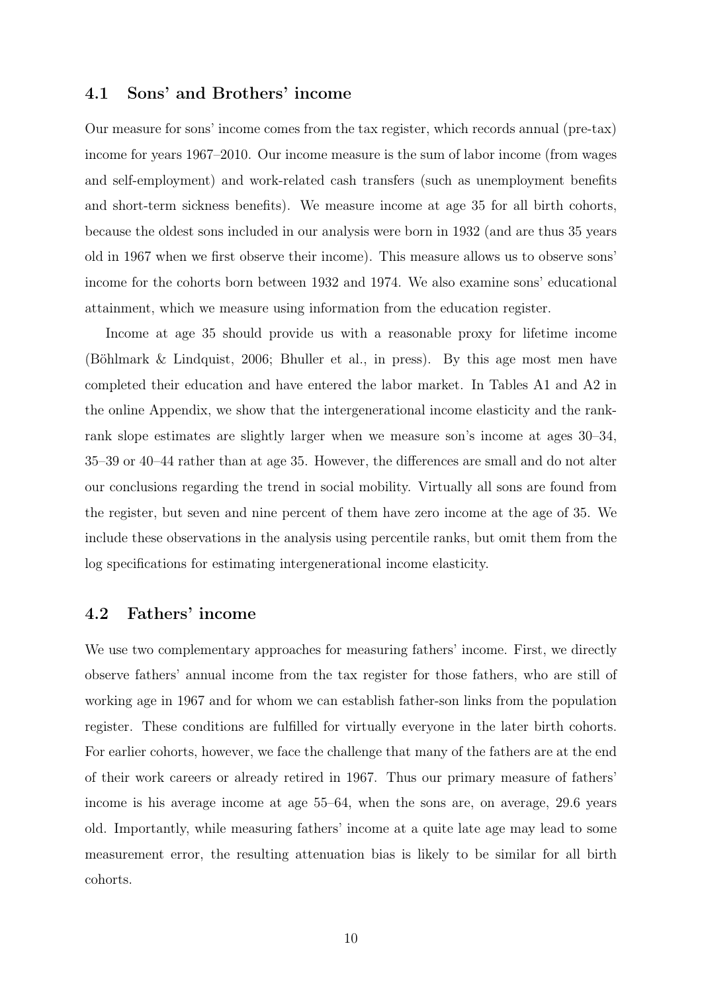#### 4.1 Sons' and Brothers' income

Our measure for sons' income comes from the tax register, which records annual (pre-tax) income for years 1967–2010. Our income measure is the sum of labor income (from wages and self-employment) and work-related cash transfers (such as unemployment benefits and short-term sickness benefits). We measure income at age 35 for all birth cohorts, because the oldest sons included in our analysis were born in 1932 (and are thus 35 years old in 1967 when we first observe their income). This measure allows us to observe sons' income for the cohorts born between 1932 and 1974. We also examine sons' educational attainment, which we measure using information from the education register.

Income at age 35 should provide us with a reasonable proxy for lifetime income (Böhlmark & Lindquist, 2006; Bhuller et al., in press). By this age most men have completed their education and have entered the labor market. In Tables A1 and A2 in the online Appendix, we show that the intergenerational income elasticity and the rankrank slope estimates are slightly larger when we measure son's income at ages 30–34, 35–39 or 40–44 rather than at age 35. However, the differences are small and do not alter our conclusions regarding the trend in social mobility. Virtually all sons are found from the register, but seven and nine percent of them have zero income at the age of 35. We include these observations in the analysis using percentile ranks, but omit them from the log specifications for estimating intergenerational income elasticity.

#### 4.2 Fathers' income

We use two complementary approaches for measuring fathers' income. First, we directly observe fathers' annual income from the tax register for those fathers, who are still of working age in 1967 and for whom we can establish father-son links from the population register. These conditions are fulfilled for virtually everyone in the later birth cohorts. For earlier cohorts, however, we face the challenge that many of the fathers are at the end of their work careers or already retired in 1967. Thus our primary measure of fathers' income is his average income at age 55–64, when the sons are, on average, 29.6 years old. Importantly, while measuring fathers' income at a quite late age may lead to some measurement error, the resulting attenuation bias is likely to be similar for all birth cohorts.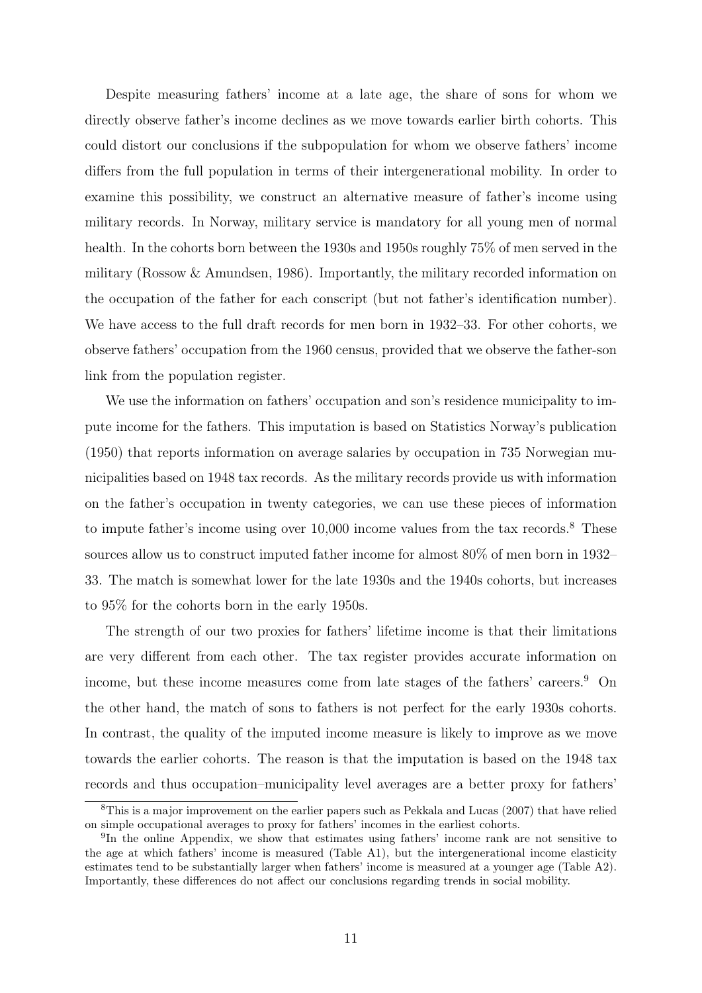Despite measuring fathers' income at a late age, the share of sons for whom we directly observe father's income declines as we move towards earlier birth cohorts. This could distort our conclusions if the subpopulation for whom we observe fathers' income differs from the full population in terms of their intergenerational mobility. In order to examine this possibility, we construct an alternative measure of father's income using military records. In Norway, military service is mandatory for all young men of normal health. In the cohorts born between the 1930s and 1950s roughly 75% of men served in the military (Rossow & Amundsen, 1986). Importantly, the military recorded information on the occupation of the father for each conscript (but not father's identification number). We have access to the full draft records for men born in 1932–33. For other cohorts, we observe fathers' occupation from the 1960 census, provided that we observe the father-son link from the population register.

We use the information on fathers' occupation and son's residence municipality to impute income for the fathers. This imputation is based on Statistics Norway's publication (1950) that reports information on average salaries by occupation in 735 Norwegian municipalities based on 1948 tax records. As the military records provide us with information on the father's occupation in twenty categories, we can use these pieces of information to impute father's income using over 10,000 income values from the tax records.<sup>8</sup> These sources allow us to construct imputed father income for almost 80% of men born in 1932– 33. The match is somewhat lower for the late 1930s and the 1940s cohorts, but increases to 95% for the cohorts born in the early 1950s.

The strength of our two proxies for fathers' lifetime income is that their limitations are very different from each other. The tax register provides accurate information on income, but these income measures come from late stages of the fathers' careers.<sup>9</sup> On the other hand, the match of sons to fathers is not perfect for the early 1930s cohorts. In contrast, the quality of the imputed income measure is likely to improve as we move towards the earlier cohorts. The reason is that the imputation is based on the 1948 tax records and thus occupation–municipality level averages are a better proxy for fathers'

<sup>&</sup>lt;sup>8</sup>This is a major improvement on the earlier papers such as Pekkala and Lucas (2007) that have relied on simple occupational averages to proxy for fathers' incomes in the earliest cohorts.

<sup>&</sup>lt;sup>9</sup>In the online Appendix, we show that estimates using fathers' income rank are not sensitive to the age at which fathers' income is measured (Table A1), but the intergenerational income elasticity estimates tend to be substantially larger when fathers' income is measured at a younger age (Table A2). Importantly, these differences do not affect our conclusions regarding trends in social mobility.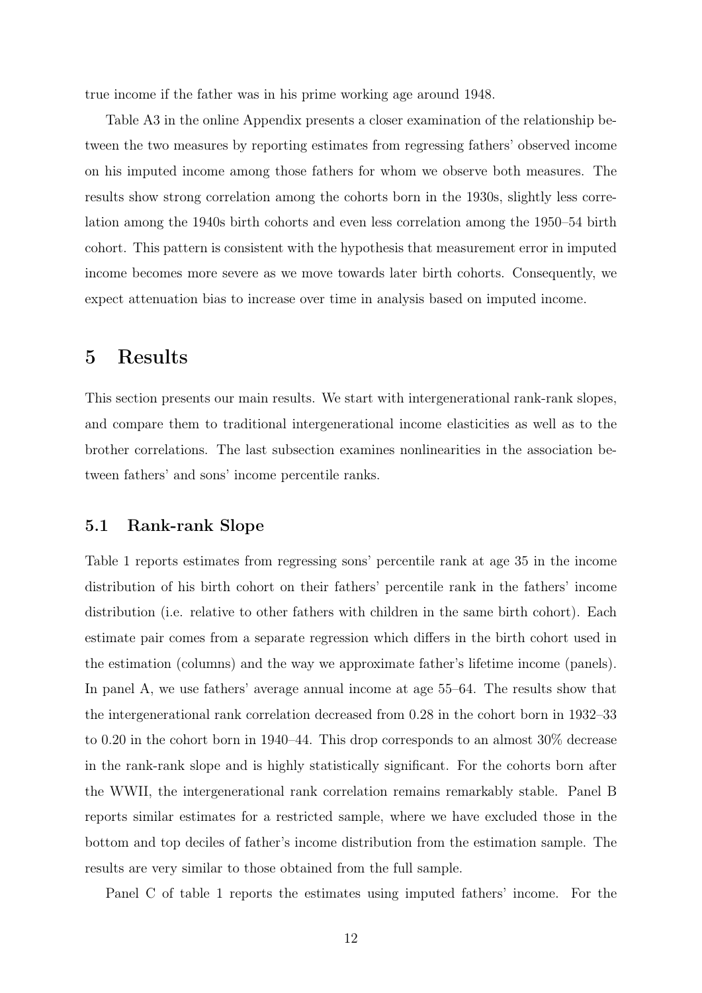true income if the father was in his prime working age around 1948.

Table A3 in the online Appendix presents a closer examination of the relationship between the two measures by reporting estimates from regressing fathers' observed income on his imputed income among those fathers for whom we observe both measures. The results show strong correlation among the cohorts born in the 1930s, slightly less correlation among the 1940s birth cohorts and even less correlation among the 1950–54 birth cohort. This pattern is consistent with the hypothesis that measurement error in imputed income becomes more severe as we move towards later birth cohorts. Consequently, we expect attenuation bias to increase over time in analysis based on imputed income.

# 5 Results

This section presents our main results. We start with intergenerational rank-rank slopes, and compare them to traditional intergenerational income elasticities as well as to the brother correlations. The last subsection examines nonlinearities in the association between fathers' and sons' income percentile ranks.

#### 5.1 Rank-rank Slope

Table 1 reports estimates from regressing sons' percentile rank at age 35 in the income distribution of his birth cohort on their fathers' percentile rank in the fathers' income distribution (i.e. relative to other fathers with children in the same birth cohort). Each estimate pair comes from a separate regression which differs in the birth cohort used in the estimation (columns) and the way we approximate father's lifetime income (panels). In panel A, we use fathers' average annual income at age 55–64. The results show that the intergenerational rank correlation decreased from 0.28 in the cohort born in 1932–33 to 0.20 in the cohort born in 1940–44. This drop corresponds to an almost 30% decrease in the rank-rank slope and is highly statistically significant. For the cohorts born after the WWII, the intergenerational rank correlation remains remarkably stable. Panel B reports similar estimates for a restricted sample, where we have excluded those in the bottom and top deciles of father's income distribution from the estimation sample. The results are very similar to those obtained from the full sample.

Panel C of table 1 reports the estimates using imputed fathers' income. For the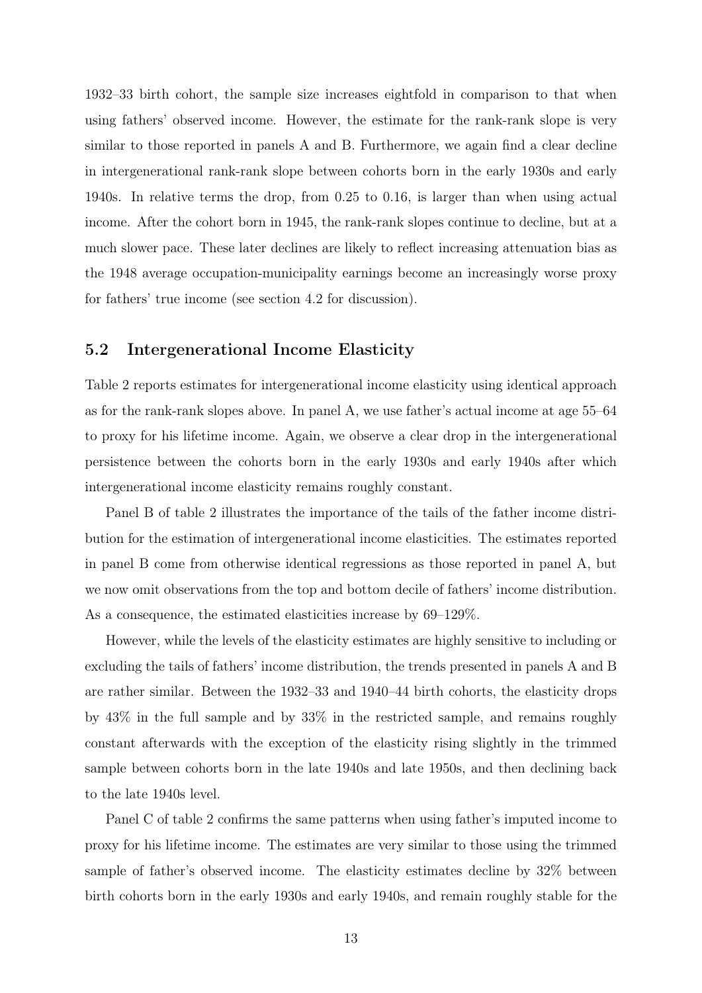1932–33 birth cohort, the sample size increases eightfold in comparison to that when using fathers' observed income. However, the estimate for the rank-rank slope is very similar to those reported in panels A and B. Furthermore, we again find a clear decline in intergenerational rank-rank slope between cohorts born in the early 1930s and early 1940s. In relative terms the drop, from 0.25 to 0.16, is larger than when using actual income. After the cohort born in 1945, the rank-rank slopes continue to decline, but at a much slower pace. These later declines are likely to reflect increasing attenuation bias as the 1948 average occupation-municipality earnings become an increasingly worse proxy for fathers' true income (see section 4.2 for discussion).

#### 5.2 Intergenerational Income Elasticity

Table 2 reports estimates for intergenerational income elasticity using identical approach as for the rank-rank slopes above. In panel A, we use father's actual income at age 55–64 to proxy for his lifetime income. Again, we observe a clear drop in the intergenerational persistence between the cohorts born in the early 1930s and early 1940s after which intergenerational income elasticity remains roughly constant.

Panel B of table 2 illustrates the importance of the tails of the father income distribution for the estimation of intergenerational income elasticities. The estimates reported in panel B come from otherwise identical regressions as those reported in panel A, but we now omit observations from the top and bottom decile of fathers' income distribution. As a consequence, the estimated elasticities increase by 69–129%.

However, while the levels of the elasticity estimates are highly sensitive to including or excluding the tails of fathers' income distribution, the trends presented in panels A and B are rather similar. Between the 1932–33 and 1940–44 birth cohorts, the elasticity drops by 43% in the full sample and by 33% in the restricted sample, and remains roughly constant afterwards with the exception of the elasticity rising slightly in the trimmed sample between cohorts born in the late 1940s and late 1950s, and then declining back to the late 1940s level.

Panel C of table 2 confirms the same patterns when using father's imputed income to proxy for his lifetime income. The estimates are very similar to those using the trimmed sample of father's observed income. The elasticity estimates decline by 32% between birth cohorts born in the early 1930s and early 1940s, and remain roughly stable for the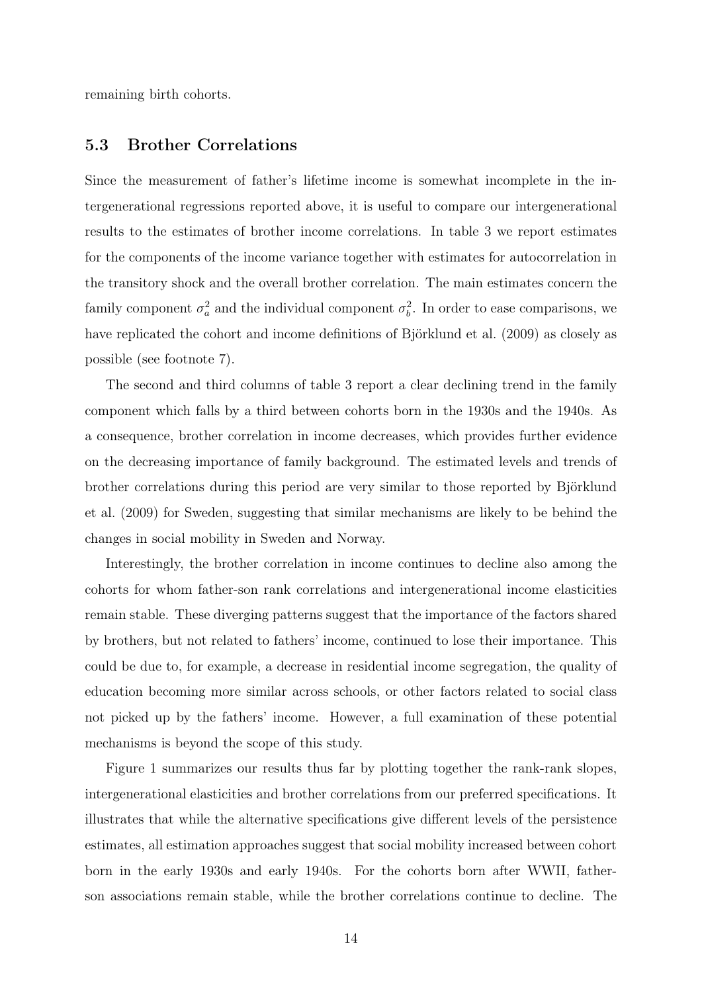remaining birth cohorts.

#### 5.3 Brother Correlations

Since the measurement of father's lifetime income is somewhat incomplete in the intergenerational regressions reported above, it is useful to compare our intergenerational results to the estimates of brother income correlations. In table 3 we report estimates for the components of the income variance together with estimates for autocorrelation in the transitory shock and the overall brother correlation. The main estimates concern the family component  $\sigma_a^2$  and the individual component  $\sigma_b^2$ . In order to ease comparisons, we have replicated the cohort and income definitions of Björklund et al. (2009) as closely as possible (see footnote 7).

The second and third columns of table 3 report a clear declining trend in the family component which falls by a third between cohorts born in the 1930s and the 1940s. As a consequence, brother correlation in income decreases, which provides further evidence on the decreasing importance of family background. The estimated levels and trends of brother correlations during this period are very similar to those reported by Björklund et al. (2009) for Sweden, suggesting that similar mechanisms are likely to be behind the changes in social mobility in Sweden and Norway.

Interestingly, the brother correlation in income continues to decline also among the cohorts for whom father-son rank correlations and intergenerational income elasticities remain stable. These diverging patterns suggest that the importance of the factors shared by brothers, but not related to fathers' income, continued to lose their importance. This could be due to, for example, a decrease in residential income segregation, the quality of education becoming more similar across schools, or other factors related to social class not picked up by the fathers' income. However, a full examination of these potential mechanisms is beyond the scope of this study.

Figure 1 summarizes our results thus far by plotting together the rank-rank slopes, intergenerational elasticities and brother correlations from our preferred specifications. It illustrates that while the alternative specifications give different levels of the persistence estimates, all estimation approaches suggest that social mobility increased between cohort born in the early 1930s and early 1940s. For the cohorts born after WWII, fatherson associations remain stable, while the brother correlations continue to decline. The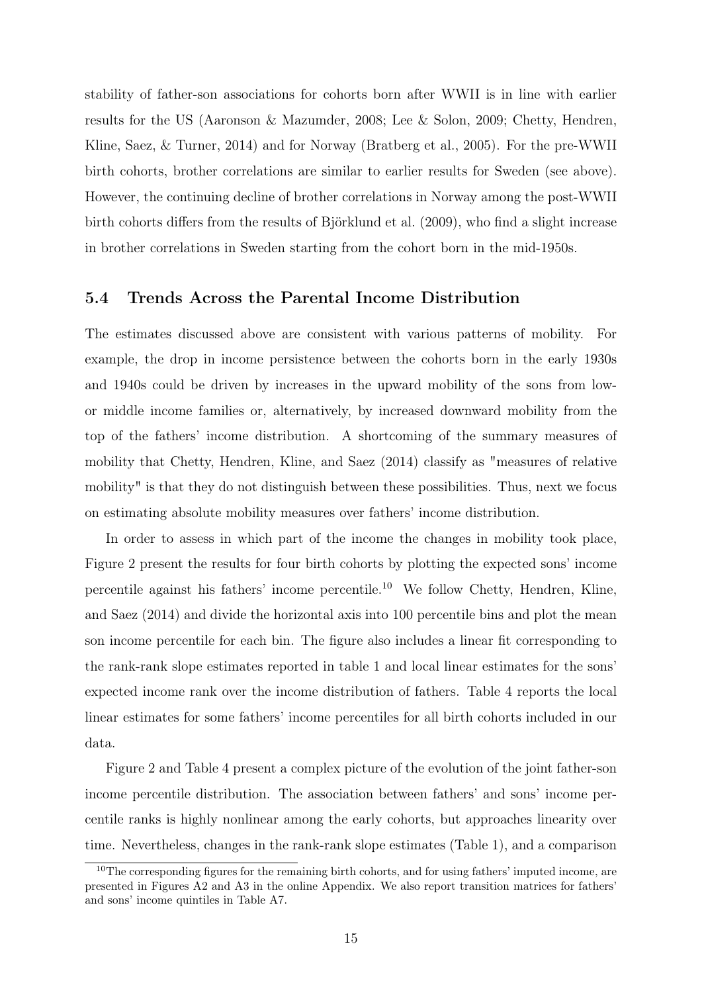stability of father-son associations for cohorts born after WWII is in line with earlier results for the US (Aaronson & Mazumder, 2008; Lee & Solon, 2009; Chetty, Hendren, Kline, Saez, & Turner, 2014) and for Norway (Bratberg et al., 2005). For the pre-WWII birth cohorts, brother correlations are similar to earlier results for Sweden (see above). However, the continuing decline of brother correlations in Norway among the post-WWII birth cohorts differs from the results of Björklund et al. (2009), who find a slight increase in brother correlations in Sweden starting from the cohort born in the mid-1950s.

#### 5.4 Trends Across the Parental Income Distribution

The estimates discussed above are consistent with various patterns of mobility. For example, the drop in income persistence between the cohorts born in the early 1930s and 1940s could be driven by increases in the upward mobility of the sons from lowor middle income families or, alternatively, by increased downward mobility from the top of the fathers' income distribution. A shortcoming of the summary measures of mobility that Chetty, Hendren, Kline, and Saez (2014) classify as "measures of relative mobility" is that they do not distinguish between these possibilities. Thus, next we focus on estimating absolute mobility measures over fathers' income distribution.

In order to assess in which part of the income the changes in mobility took place, Figure 2 present the results for four birth cohorts by plotting the expected sons' income percentile against his fathers' income percentile.<sup>10</sup> We follow Chetty, Hendren, Kline, and Saez (2014) and divide the horizontal axis into 100 percentile bins and plot the mean son income percentile for each bin. The figure also includes a linear fit corresponding to the rank-rank slope estimates reported in table 1 and local linear estimates for the sons' expected income rank over the income distribution of fathers. Table 4 reports the local linear estimates for some fathers' income percentiles for all birth cohorts included in our data.

Figure 2 and Table 4 present a complex picture of the evolution of the joint father-son income percentile distribution. The association between fathers' and sons' income percentile ranks is highly nonlinear among the early cohorts, but approaches linearity over time. Nevertheless, changes in the rank-rank slope estimates (Table 1), and a comparison

 $10$ The corresponding figures for the remaining birth cohorts, and for using fathers' imputed income, are presented in Figures A2 and A3 in the online Appendix. We also report transition matrices for fathers' and sons' income quintiles in Table A7.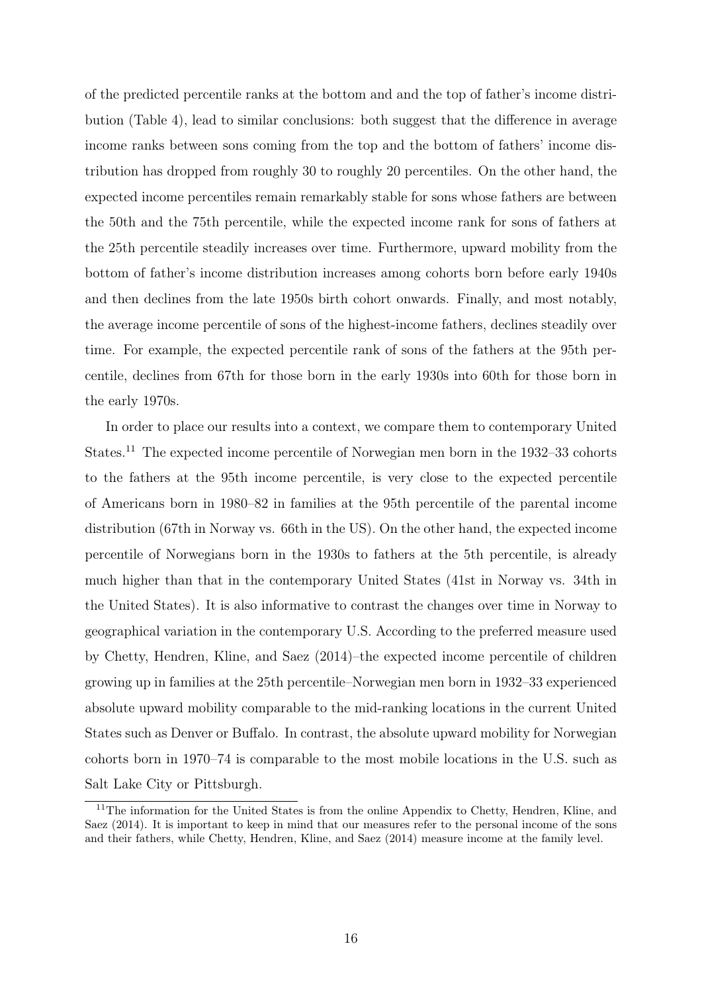of the predicted percentile ranks at the bottom and and the top of father's income distribution (Table 4), lead to similar conclusions: both suggest that the difference in average income ranks between sons coming from the top and the bottom of fathers' income distribution has dropped from roughly 30 to roughly 20 percentiles. On the other hand, the expected income percentiles remain remarkably stable for sons whose fathers are between the 50th and the 75th percentile, while the expected income rank for sons of fathers at the 25th percentile steadily increases over time. Furthermore, upward mobility from the bottom of father's income distribution increases among cohorts born before early 1940s and then declines from the late 1950s birth cohort onwards. Finally, and most notably, the average income percentile of sons of the highest-income fathers, declines steadily over time. For example, the expected percentile rank of sons of the fathers at the 95th percentile, declines from 67th for those born in the early 1930s into 60th for those born in the early 1970s.

In order to place our results into a context, we compare them to contemporary United States.<sup>11</sup> The expected income percentile of Norwegian men born in the 1932–33 cohorts to the fathers at the 95th income percentile, is very close to the expected percentile of Americans born in 1980–82 in families at the 95th percentile of the parental income distribution (67th in Norway vs. 66th in the US). On the other hand, the expected income percentile of Norwegians born in the 1930s to fathers at the 5th percentile, is already much higher than that in the contemporary United States (41st in Norway vs. 34th in the United States). It is also informative to contrast the changes over time in Norway to geographical variation in the contemporary U.S. According to the preferred measure used by Chetty, Hendren, Kline, and Saez (2014)–the expected income percentile of children growing up in families at the 25th percentile–Norwegian men born in 1932–33 experienced absolute upward mobility comparable to the mid-ranking locations in the current United States such as Denver or Buffalo. In contrast, the absolute upward mobility for Norwegian cohorts born in 1970–74 is comparable to the most mobile locations in the U.S. such as Salt Lake City or Pittsburgh.

<sup>&</sup>lt;sup>11</sup>The information for the United States is from the online Appendix to Chetty, Hendren, Kline, and Saez (2014). It is important to keep in mind that our measures refer to the personal income of the sons and their fathers, while Chetty, Hendren, Kline, and Saez (2014) measure income at the family level.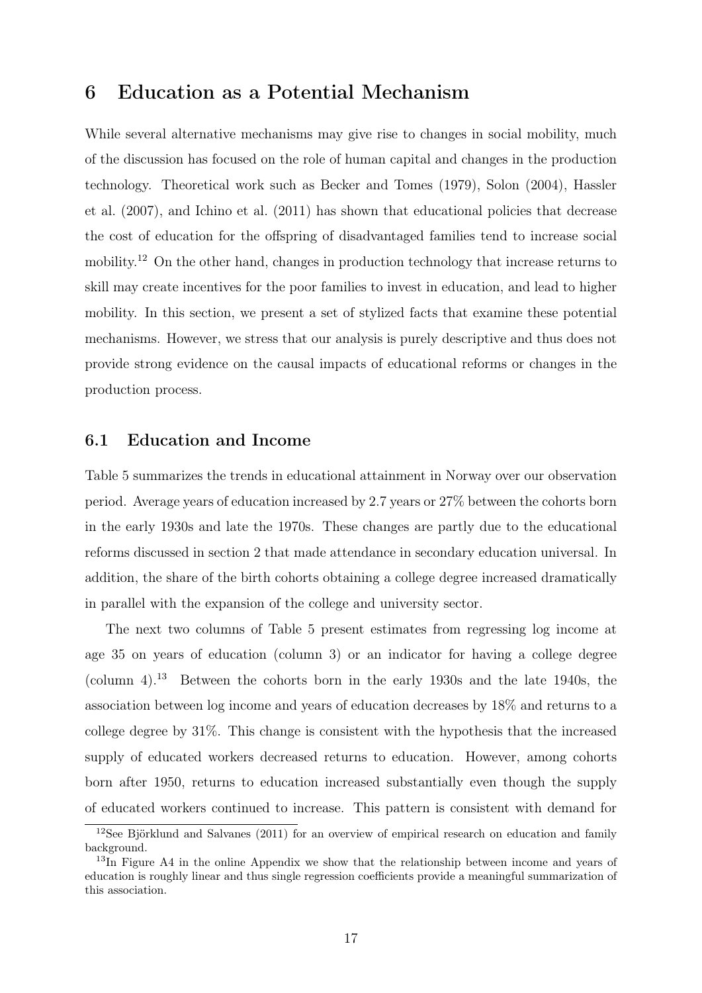### 6 Education as a Potential Mechanism

While several alternative mechanisms may give rise to changes in social mobility, much of the discussion has focused on the role of human capital and changes in the production technology. Theoretical work such as Becker and Tomes (1979), Solon (2004), Hassler et al. (2007), and Ichino et al. (2011) has shown that educational policies that decrease the cost of education for the offspring of disadvantaged families tend to increase social mobility.<sup>12</sup> On the other hand, changes in production technology that increase returns to skill may create incentives for the poor families to invest in education, and lead to higher mobility. In this section, we present a set of stylized facts that examine these potential mechanisms. However, we stress that our analysis is purely descriptive and thus does not provide strong evidence on the causal impacts of educational reforms or changes in the production process.

#### 6.1 Education and Income

Table 5 summarizes the trends in educational attainment in Norway over our observation period. Average years of education increased by 2.7 years or 27% between the cohorts born in the early 1930s and late the 1970s. These changes are partly due to the educational reforms discussed in section 2 that made attendance in secondary education universal. In addition, the share of the birth cohorts obtaining a college degree increased dramatically in parallel with the expansion of the college and university sector.

The next two columns of Table 5 present estimates from regressing log income at age 35 on years of education (column 3) or an indicator for having a college degree (column 4).<sup>13</sup> Between the cohorts born in the early 1930s and the late 1940s, the association between log income and years of education decreases by 18% and returns to a college degree by 31%. This change is consistent with the hypothesis that the increased supply of educated workers decreased returns to education. However, among cohorts born after 1950, returns to education increased substantially even though the supply of educated workers continued to increase. This pattern is consistent with demand for

 $12$ See Björklund and Salvanes (2011) for an overview of empirical research on education and family background.

 $13\text{In}$  Figure A4 in the online Appendix we show that the relationship between income and years of education is roughly linear and thus single regression coefficients provide a meaningful summarization of this association.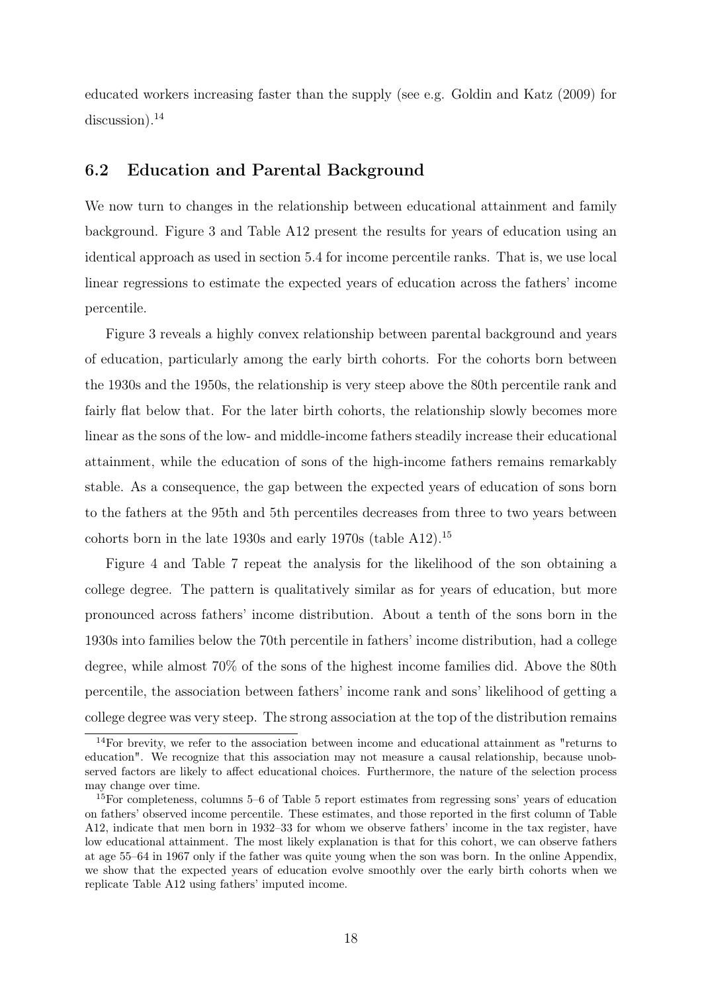educated workers increasing faster than the supply (see e.g. Goldin and Katz (2009) for  $discussion$ <sup>14</sup>

#### 6.2 Education and Parental Background

We now turn to changes in the relationship between educational attainment and family background. Figure 3 and Table A12 present the results for years of education using an identical approach as used in section 5.4 for income percentile ranks. That is, we use local linear regressions to estimate the expected years of education across the fathers' income percentile.

Figure 3 reveals a highly convex relationship between parental background and years of education, particularly among the early birth cohorts. For the cohorts born between the 1930s and the 1950s, the relationship is very steep above the 80th percentile rank and fairly flat below that. For the later birth cohorts, the relationship slowly becomes more linear as the sons of the low- and middle-income fathers steadily increase their educational attainment, while the education of sons of the high-income fathers remains remarkably stable. As a consequence, the gap between the expected years of education of sons born to the fathers at the 95th and 5th percentiles decreases from three to two years between cohorts born in the late 1930s and early 1970s (table A12).<sup>15</sup>

Figure 4 and Table 7 repeat the analysis for the likelihood of the son obtaining a college degree. The pattern is qualitatively similar as for years of education, but more pronounced across fathers' income distribution. About a tenth of the sons born in the 1930s into families below the 70th percentile in fathers' income distribution, had a college degree, while almost 70% of the sons of the highest income families did. Above the 80th percentile, the association between fathers' income rank and sons' likelihood of getting a college degree was very steep. The strong association at the top of the distribution remains

<sup>&</sup>lt;sup>14</sup>For brevity, we refer to the association between income and educational attainment as "returns to education". We recognize that this association may not measure a causal relationship, because unobserved factors are likely to affect educational choices. Furthermore, the nature of the selection process may change over time.

<sup>15</sup>For completeness, columns 5–6 of Table 5 report estimates from regressing sons' years of education on fathers' observed income percentile. These estimates, and those reported in the first column of Table A12, indicate that men born in 1932–33 for whom we observe fathers' income in the tax register, have low educational attainment. The most likely explanation is that for this cohort, we can observe fathers at age 55–64 in 1967 only if the father was quite young when the son was born. In the online Appendix, we show that the expected years of education evolve smoothly over the early birth cohorts when we replicate Table A12 using fathers' imputed income.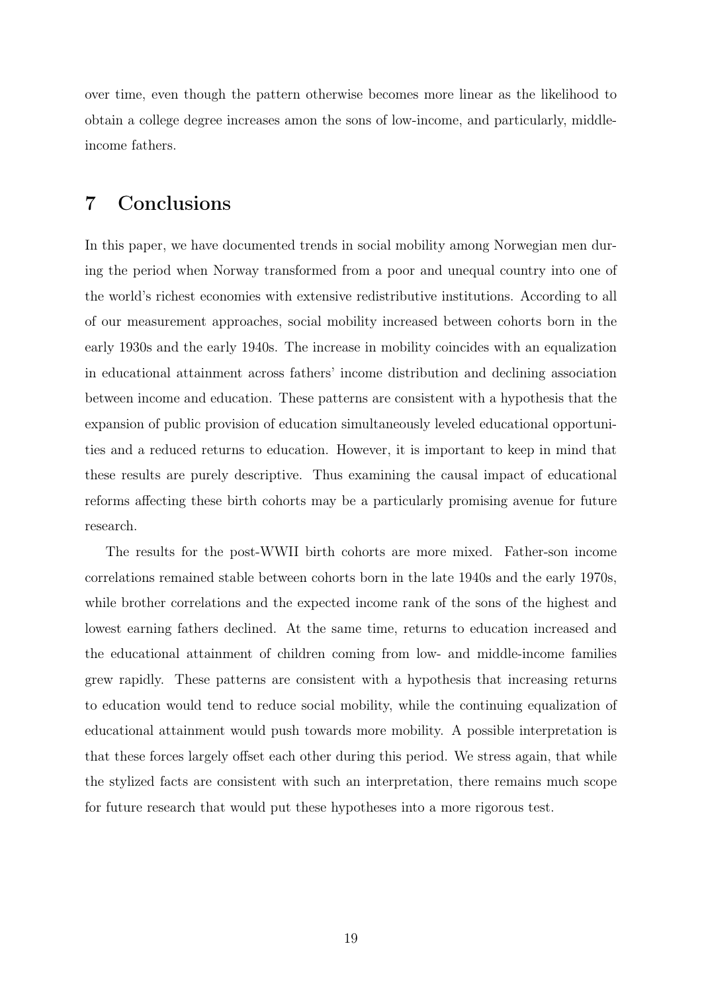over time, even though the pattern otherwise becomes more linear as the likelihood to obtain a college degree increases amon the sons of low-income, and particularly, middleincome fathers.

### 7 Conclusions

In this paper, we have documented trends in social mobility among Norwegian men during the period when Norway transformed from a poor and unequal country into one of the world's richest economies with extensive redistributive institutions. According to all of our measurement approaches, social mobility increased between cohorts born in the early 1930s and the early 1940s. The increase in mobility coincides with an equalization in educational attainment across fathers' income distribution and declining association between income and education. These patterns are consistent with a hypothesis that the expansion of public provision of education simultaneously leveled educational opportunities and a reduced returns to education. However, it is important to keep in mind that these results are purely descriptive. Thus examining the causal impact of educational reforms affecting these birth cohorts may be a particularly promising avenue for future research.

The results for the post-WWII birth cohorts are more mixed. Father-son income correlations remained stable between cohorts born in the late 1940s and the early 1970s, while brother correlations and the expected income rank of the sons of the highest and lowest earning fathers declined. At the same time, returns to education increased and the educational attainment of children coming from low- and middle-income families grew rapidly. These patterns are consistent with a hypothesis that increasing returns to education would tend to reduce social mobility, while the continuing equalization of educational attainment would push towards more mobility. A possible interpretation is that these forces largely offset each other during this period. We stress again, that while the stylized facts are consistent with such an interpretation, there remains much scope for future research that would put these hypotheses into a more rigorous test.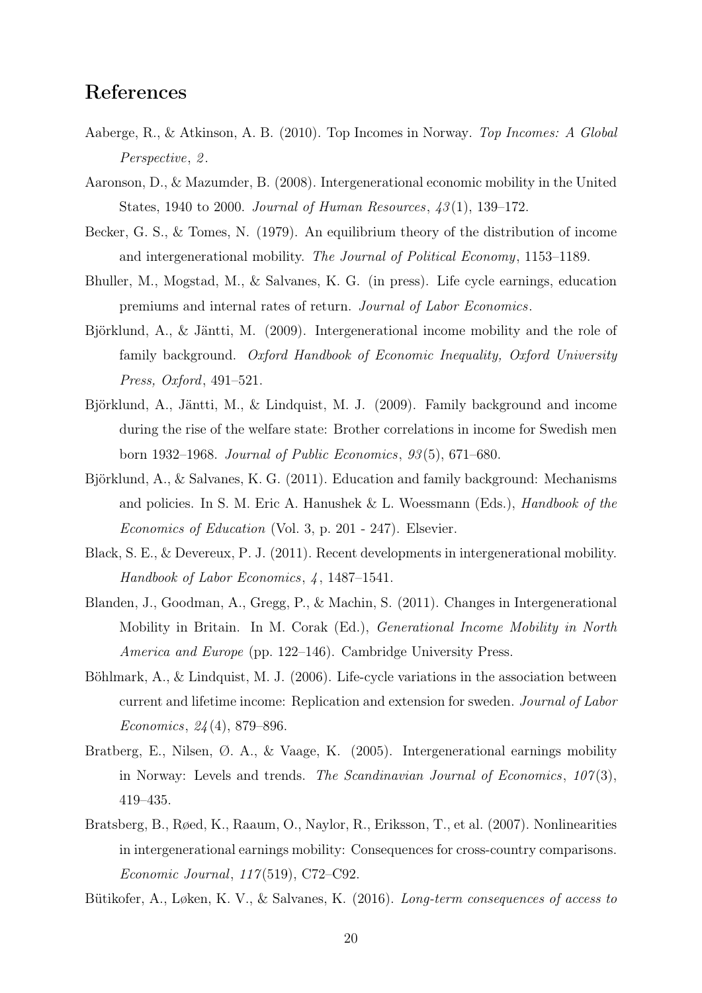# References

- Aaberge, R., & Atkinson, A. B. (2010). Top Incomes in Norway. Top Incomes: A Global Perspective, 2.
- Aaronson, D., & Mazumder, B. (2008). Intergenerational economic mobility in the United States, 1940 to 2000. Journal of Human Resources, 43 (1), 139–172.
- Becker, G. S., & Tomes, N. (1979). An equilibrium theory of the distribution of income and intergenerational mobility. The Journal of Political Economy, 1153–1189.
- Bhuller, M., Mogstad, M., & Salvanes, K. G. (in press). Life cycle earnings, education premiums and internal rates of return. Journal of Labor Economics.
- Björklund, A., & Jäntti, M. (2009). Intergenerational income mobility and the role of family background. Oxford Handbook of Economic Inequality, Oxford University Press, Oxford, 491–521.
- Björklund, A., Jäntti, M., & Lindquist, M. J. (2009). Family background and income during the rise of the welfare state: Brother correlations in income for Swedish men born 1932–1968. Journal of Public Economics, 93 (5), 671–680.
- Björklund, A., & Salvanes, K. G. (2011). Education and family background: Mechanisms and policies. In S. M. Eric A. Hanushek & L. Woessmann (Eds.), *Handbook of the* Economics of Education (Vol. 3, p. 201 - 247). Elsevier.
- Black, S. E., & Devereux, P. J. (2011). Recent developments in intergenerational mobility. Handbook of Labor Economics, 4, 1487–1541.
- Blanden, J., Goodman, A., Gregg, P., & Machin, S. (2011). Changes in Intergenerational Mobility in Britain. In M. Corak (Ed.), Generational Income Mobility in North America and Europe (pp. 122–146). Cambridge University Press.
- Böhlmark, A., & Lindquist, M. J. (2006). Life-cycle variations in the association between current and lifetime income: Replication and extension for sweden. Journal of Labor Economics, 24 (4), 879–896.
- Bratberg, E., Nilsen, Ø. A., & Vaage, K. (2005). Intergenerational earnings mobility in Norway: Levels and trends. The Scandinavian Journal of Economics,  $107(3)$ , 419–435.
- Bratsberg, B., Røed, K., Raaum, O., Naylor, R., Eriksson, T., et al. (2007). Nonlinearities in intergenerational earnings mobility: Consequences for cross-country comparisons. Economic Journal, 117 (519), C72–C92.
- Bütikofer, A., Løken, K. V., & Salvanes, K. (2016). Long-term consequences of access to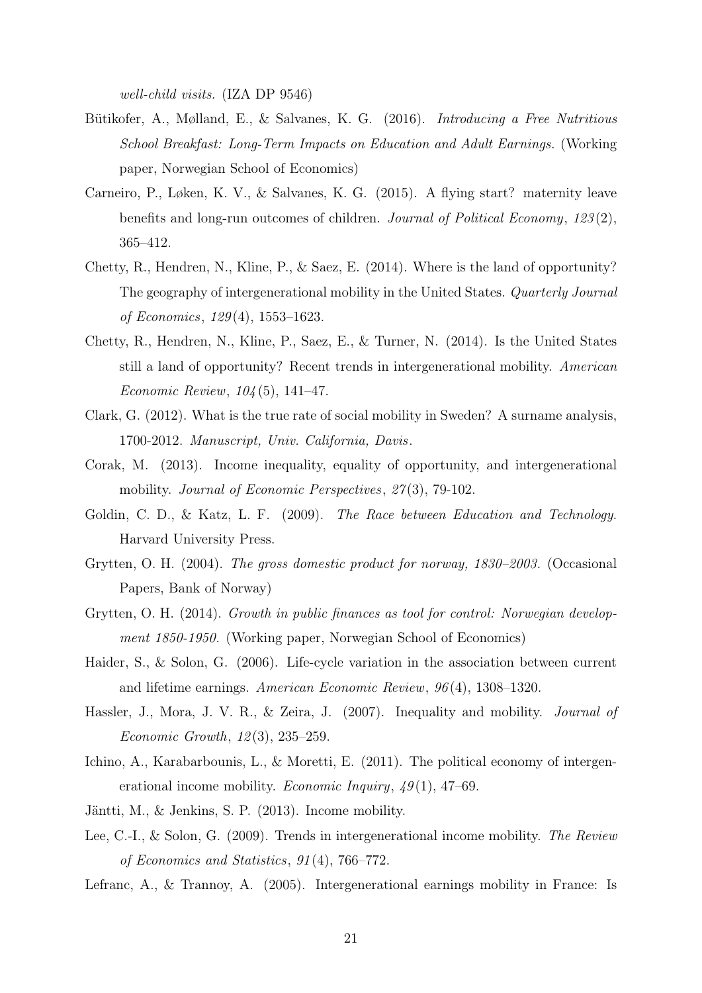well-child visits. (IZA DP 9546)

- Bütikofer, A., Mølland, E., & Salvanes, K. G. (2016). Introducing a Free Nutritious School Breakfast: Long-Term Impacts on Education and Adult Earnings. (Working paper, Norwegian School of Economics)
- Carneiro, P., Løken, K. V., & Salvanes, K. G. (2015). A flying start? maternity leave benefits and long-run outcomes of children. Journal of Political Economy, 123 (2), 365–412.
- Chetty, R., Hendren, N., Kline, P., & Saez, E. (2014). Where is the land of opportunity? The geography of intergenerational mobility in the United States. Quarterly Journal of Economics, 129 (4), 1553–1623.
- Chetty, R., Hendren, N., Kline, P., Saez, E., & Turner, N. (2014). Is the United States still a land of opportunity? Recent trends in intergenerational mobility. American Economic Review, 104 (5), 141–47.
- Clark, G. (2012). What is the true rate of social mobility in Sweden? A surname analysis, 1700-2012. Manuscript, Univ. California, Davis.
- Corak, M. (2013). Income inequality, equality of opportunity, and intergenerational mobility. *Journal of Economic Perspectives*, 27(3), 79-102.
- Goldin, C. D., & Katz, L. F. (2009). The Race between Education and Technology. Harvard University Press.
- Grytten, O. H. (2004). The gross domestic product for norway, 1830–2003. (Occasional Papers, Bank of Norway)
- Grytten, O. H. (2014). Growth in public finances as tool for control: Norwegian development 1850-1950. (Working paper, Norwegian School of Economics)
- Haider, S., & Solon, G. (2006). Life-cycle variation in the association between current and lifetime earnings. American Economic Review, 96 (4), 1308–1320.
- Hassler, J., Mora, J. V. R., & Zeira, J. (2007). Inequality and mobility. Journal of Economic Growth, 12 (3), 235–259.
- Ichino, A., Karabarbounis, L., & Moretti, E. (2011). The political economy of intergenerational income mobility. *Economic Inquiry*,  $\mu$ 9(1), 47–69.
- Jäntti, M., & Jenkins, S. P. (2013). Income mobility.
- Lee, C.-I., & Solon, G. (2009). Trends in intergenerational income mobility. The Review of Economics and Statistics, 91 (4), 766–772.
- Lefranc, A., & Trannoy, A. (2005). Intergenerational earnings mobility in France: Is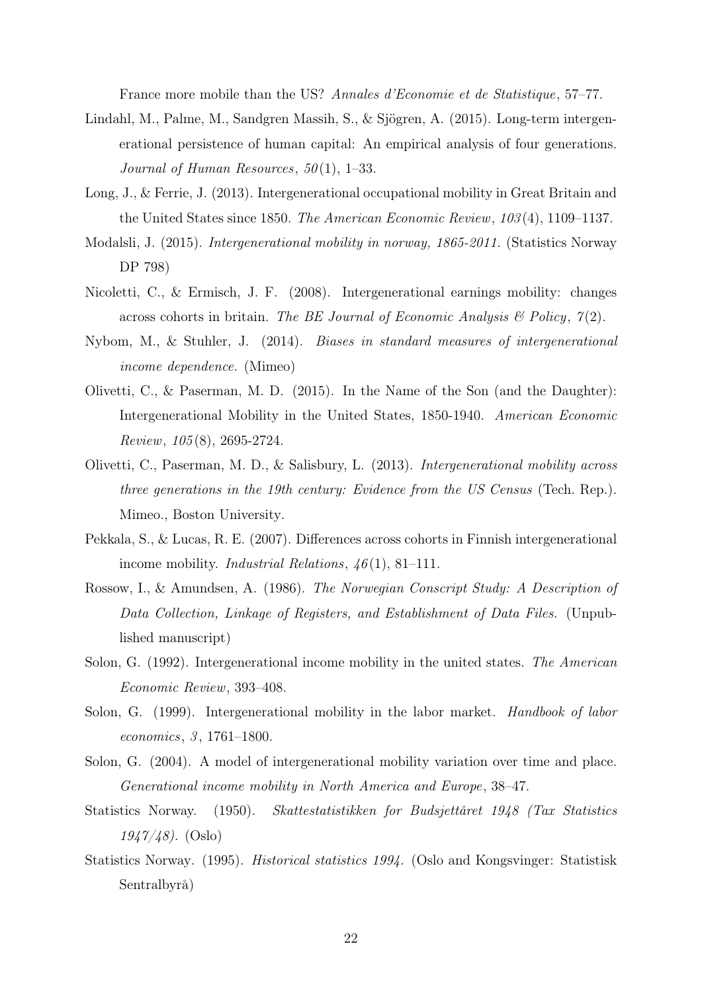France more mobile than the US? Annales d'Economie et de Statistique, 57–77.

- Lindahl, M., Palme, M., Sandgren Massih, S., & Sjögren, A. (2015). Long-term intergenerational persistence of human capital: An empirical analysis of four generations. Journal of Human Resources,  $50(1)$ , 1–33.
- Long, J., & Ferrie, J. (2013). Intergenerational occupational mobility in Great Britain and the United States since 1850. The American Economic Review, 103 (4), 1109–1137.
- Modalsli, J. (2015). Intergenerational mobility in norway, 1865-2011. (Statistics Norway DP 798)
- Nicoletti, C., & Ermisch, J. F. (2008). Intergenerational earnings mobility: changes across cohorts in britain. The BE Journal of Economic Analysis  $\mathcal B$  Policy,  $\mathcal I(2)$ .
- Nybom, M., & Stuhler, J. (2014). Biases in standard measures of intergenerational income dependence. (Mimeo)
- Olivetti, C., & Paserman, M. D. (2015). In the Name of the Son (and the Daughter): Intergenerational Mobility in the United States, 1850-1940. American Economic Review, 105 (8), 2695-2724.
- Olivetti, C., Paserman, M. D., & Salisbury, L. (2013). Intergenerational mobility across three generations in the 19th century: Evidence from the US Census (Tech. Rep.). Mimeo., Boston University.
- Pekkala, S., & Lucas, R. E. (2007). Differences across cohorts in Finnish intergenerational income mobility. *Industrial Relations*,  $46(1)$ , 81-111.
- Rossow, I., & Amundsen, A. (1986). The Norwegian Conscript Study: A Description of Data Collection, Linkage of Registers, and Establishment of Data Files. (Unpublished manuscript)
- Solon, G. (1992). Intergenerational income mobility in the united states. The American Economic Review, 393–408.
- Solon, G. (1999). Intergenerational mobility in the labor market. *Handbook of labor* economics, 3, 1761-1800.
- Solon, G. (2004). A model of intergenerational mobility variation over time and place. Generational income mobility in North America and Europe , 38–47.
- Statistics Norway. (1950). Skattestatistikken for Budsjettåret 1948 (Tax Statistics  $1947/48$ ). (Oslo)
- Statistics Norway. (1995). Historical statistics 1994. (Oslo and Kongsvinger: Statistisk Sentralbyrå)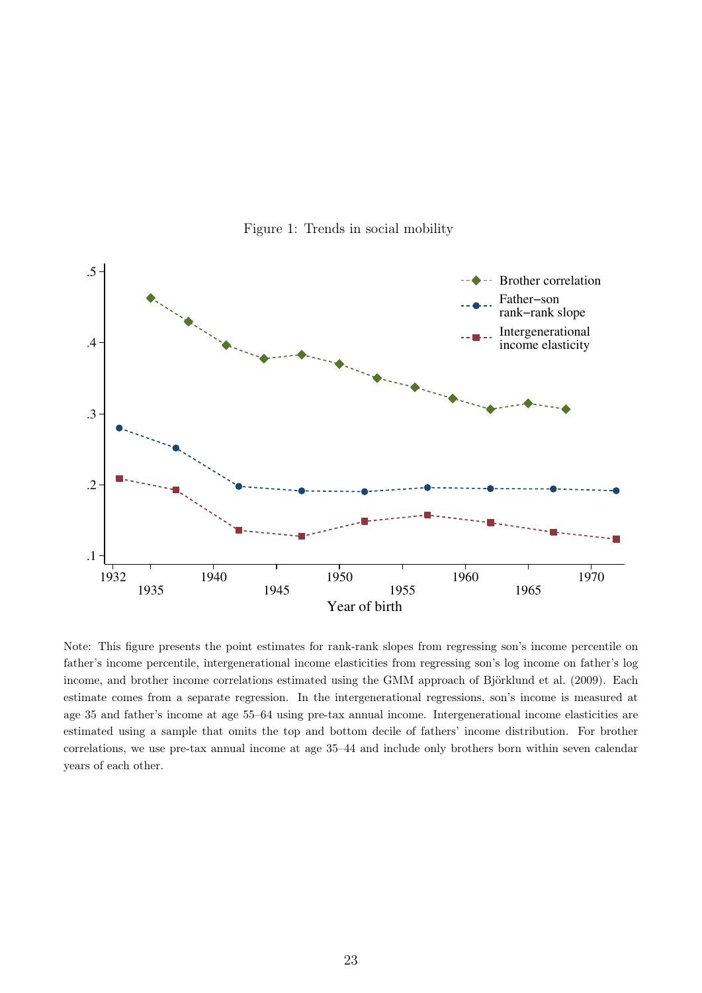

Figure 1: Trends in social mobility

Note: This figure presents the point estimates for rank-rank slopes from regressing son's income percentile on father's income percentile, intergenerational income elasticities from regressing son's log income on father's log income, and brother income correlations estimated using the GMM approach of Björklund et al. (2009). Each estimate comes from a separate regression. In the intergenerational regressions, son's income is measured at age 35 and father's income at age 55–64 using pre-tax annual income. Intergenerational income elasticities are estimated using a sample that omits the top and bottom decile of fathers' income distribution. For brother correlations, we use pre-tax annual income at age 35–44 and include only brothers born within seven calendar years of each other.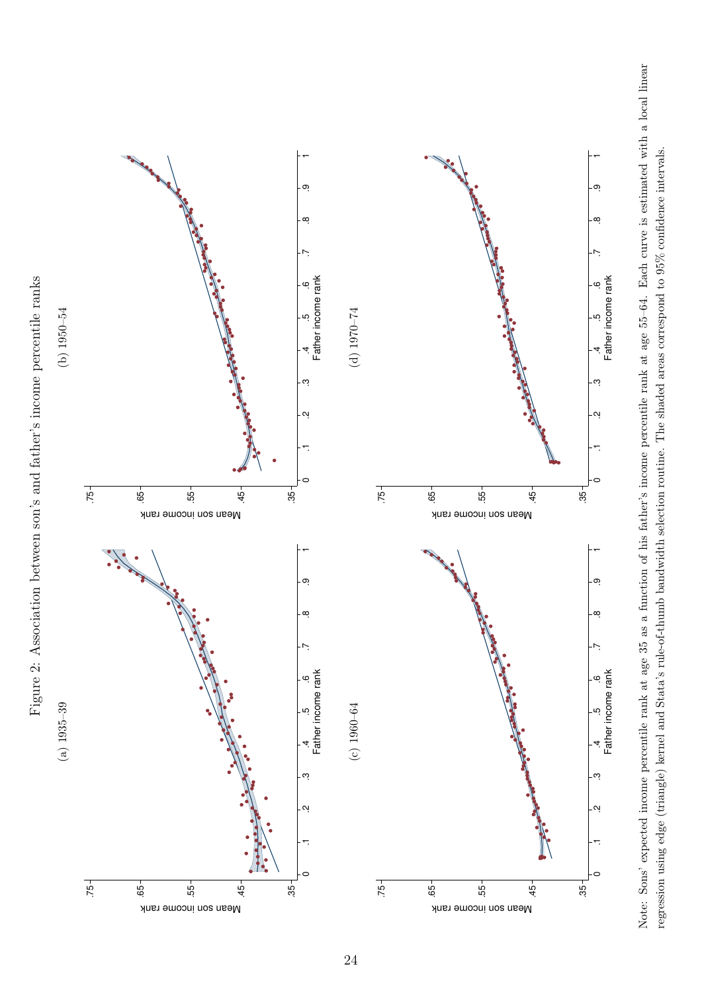



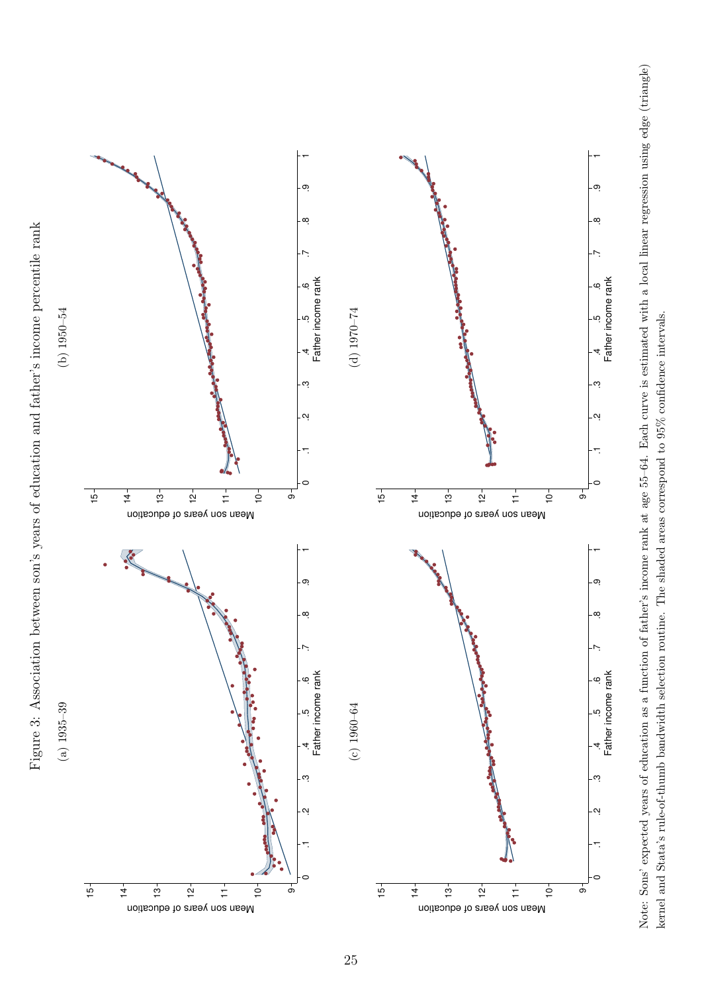

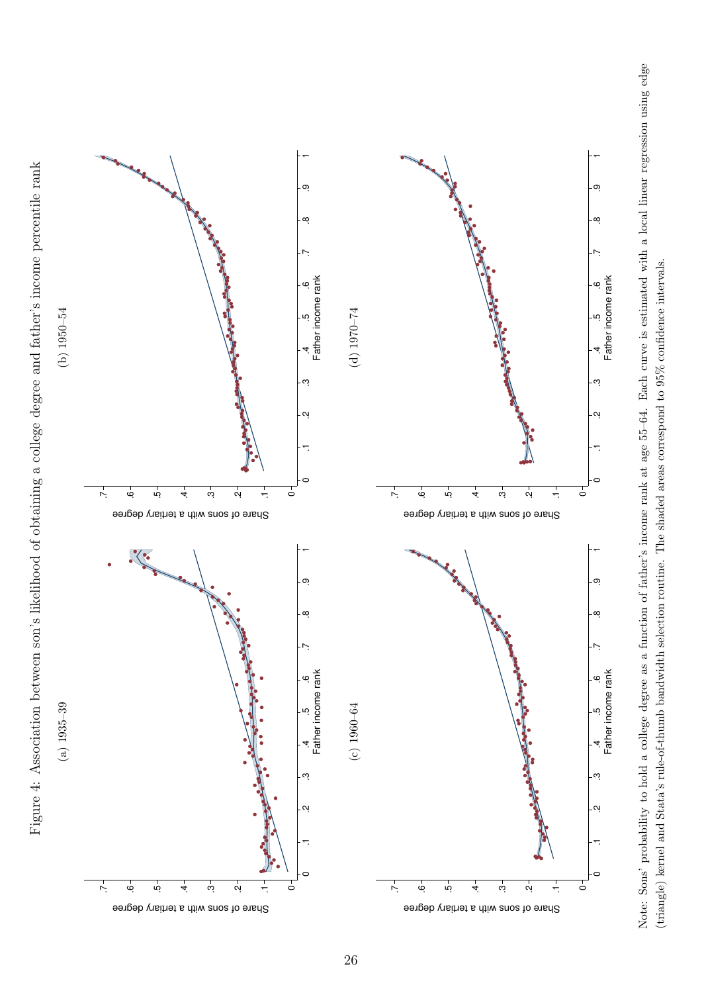



 $\mathbf{\color{red}C}$ 

 .1 .2 .3 .4 .5 .6 .7 .8 .9 1 Father income rank

<u>ب</u>

4

က

ڢ

Father income rank

c

 $\sigma$ 

 $\alpha$ 

 .1 .2 .3 .4 .5 .6 .7 .8 .9 1 Father income rank

.<br>ب

4

Ċ.

ဖ

Father income rank

ၜ

 $\alpha$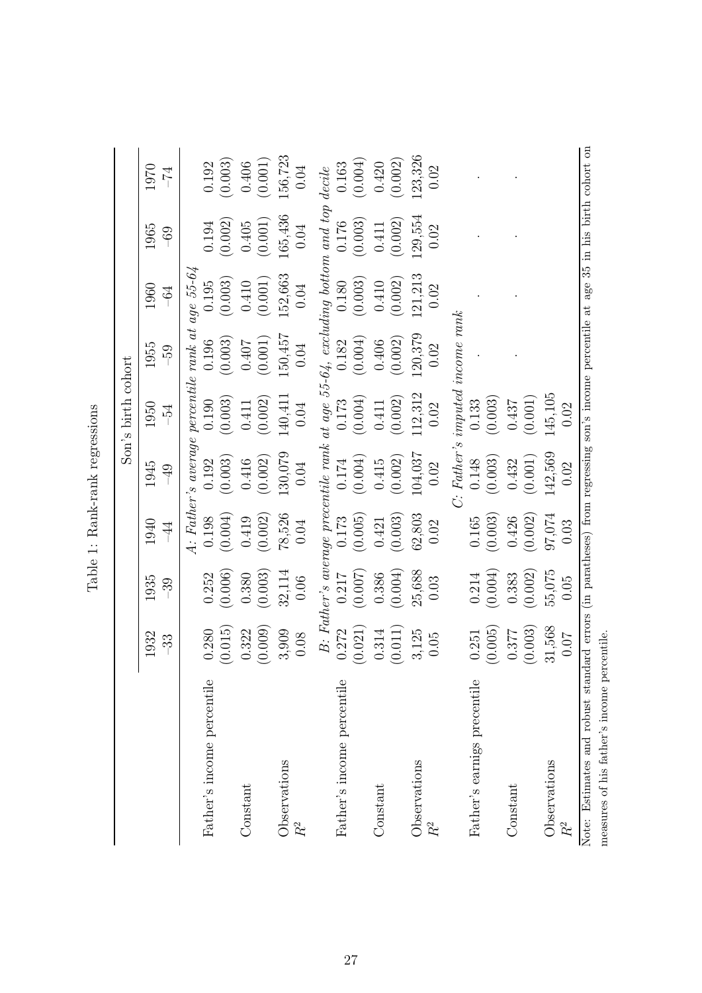|                                                                                                                                     |         |         |                |               | Son's birth cohort |                                                            |                                                                               |         |         |
|-------------------------------------------------------------------------------------------------------------------------------------|---------|---------|----------------|---------------|--------------------|------------------------------------------------------------|-------------------------------------------------------------------------------|---------|---------|
|                                                                                                                                     | 1932    | 1935    | 1940           | 1945          | 1950               | 1955                                                       | 1960                                                                          | 1965    | 1970    |
|                                                                                                                                     | $-33$   | $-39$   | $\overline{4}$ | $\frac{1}{2}$ | $-54$              | <b>69-</b>                                                 | $\ddot{\phi}$                                                                 | $-69$   | $-74$   |
|                                                                                                                                     |         |         |                |               |                    | A: Father's average percentile rank at age $55{\text -}64$ |                                                                               |         |         |
| Father's income percentile                                                                                                          | 0.280   | 0.252   | 0.198          | 0.192         | 0.190              | 0.196                                                      | 0.195                                                                         | 0.194   | 0.192   |
|                                                                                                                                     | (0.015) | (0.006) | (0.004)        | (0.003)       | (0.003)            | (0.003)                                                    | (0.003)                                                                       | (0.002) | (0.003) |
| Constant                                                                                                                            | 0.322   | 0.380   | 0.419          | 0.416         | 0.411              | 0.407                                                      | 0.410                                                                         | 0.405   | 0.406   |
|                                                                                                                                     | (0.009) | (0.003) | (0.002)        | (0.002)       | (0.002)            | (0.001)                                                    | (0.001)                                                                       | (0.001) | (0.001) |
| Observations                                                                                                                        | 3,909   | 32,114  | 78,526         | 130,079       | 140,411            | 150,457                                                    | 152,663                                                                       | 165,436 | 56,723  |
| $\ensuremath{R^2}$                                                                                                                  | 0.08    | 0.06    | 0.04           | 0.04          | 0.04               | 0.04                                                       | 0.04                                                                          | 0.04    | 0.04    |
|                                                                                                                                     |         |         |                |               |                    |                                                            | B: Father's average precentile rank at age $55-64$ , excluding bottom and top |         | decile  |
| Father's income percentile                                                                                                          | 0.272   | 0.217   | 0.173          | 0.174         | 0.173              | 0.182                                                      | 0.180                                                                         | 0.176   | 0.163   |
|                                                                                                                                     | (0.021) | (0.007) | (0.005)        | (0.004)       | (0.004)            | (0.004)                                                    | (0.003)                                                                       | (0.003) | (0.004) |
| Constant                                                                                                                            | 0.314   | 0.386   | 0.421          | 0.415         | 0.411              | 0.406                                                      | 0.410                                                                         | 0.411   | 0.420   |
|                                                                                                                                     | (0.011) | (0.004) | (0.003)        | (0.002)       | (0.002)            | (0.002)                                                    | (0.002)                                                                       | (0.002) | (0.002) |
| Observations                                                                                                                        | 3,125   | 25,688  | 62,803         | 104,037       | 112,312            | 120,379                                                    | 121,213                                                                       | 129,554 | 23,326  |
| $R^2$                                                                                                                               | 0.05    | 0.03    | 0.02           | 0.02          | 0.02               | 0.02                                                       | 0.02                                                                          | 0.02    | 0.02    |
|                                                                                                                                     |         |         |                |               |                    | C: Father's imputed income rank                            |                                                                               |         |         |
| Father's earnigs precentile                                                                                                         | 0.251   | 0.214   | 0.165          | 0.148         | 0.133              |                                                            |                                                                               |         |         |
|                                                                                                                                     | (0.005) | (0.004) | (0.003)        | (0.003)       | (0.003)            |                                                            |                                                                               |         |         |
| Constant                                                                                                                            | 0.377   | 0.383   | 0.426          | 0.432         | 0.437              |                                                            |                                                                               |         |         |
|                                                                                                                                     | (0.003) | (0.002) | (0.002)        | (0.001)       | (0.001)            |                                                            |                                                                               |         |         |
| Observations                                                                                                                        | 31,568  | 55,075  | 97,074         | 142,569       | 145,105            |                                                            |                                                                               |         |         |
| $\ensuremath{R^2}$                                                                                                                  | 0.07    | 0.05    | 0.03           | 0.02          | 0.02               |                                                            |                                                                               |         |         |
| Note: Estimates and robust standard errors (in paratheses) from regressing son's income percentile at age 35 in his birth cohort on |         |         |                |               |                    |                                                            |                                                                               |         |         |
| measures of his father's income percentile.                                                                                         |         |         |                |               |                    |                                                            |                                                                               |         |         |

| こくこくこく こくこくこく<br>١   |
|----------------------|
| :<br>احداث<br>Ó<br>ā |
| ٢                    |
|                      |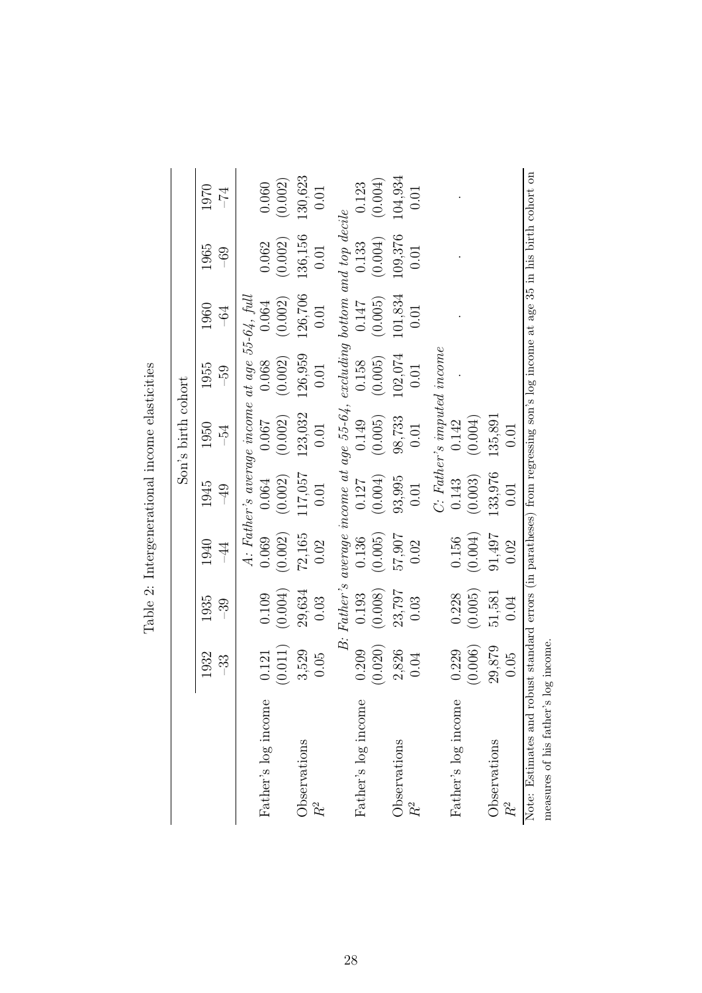|                                                                                                                              |                  |                  |                        |                                                  | $S\text{on's birth cohort}$   |                  |                  |                                 |                     |
|------------------------------------------------------------------------------------------------------------------------------|------------------|------------------|------------------------|--------------------------------------------------|-------------------------------|------------------|------------------|---------------------------------|---------------------|
|                                                                                                                              | 1932<br>-33      | 1935<br>-39      | 1940<br>$\overline{4}$ | 1945<br>$-49$                                    | 1950<br>$-54$                 | 1955<br>$-59$    | 1960<br>$-64$    | 1965<br>$-69$                   | 1970<br>$\bar{V}$ – |
|                                                                                                                              |                  |                  |                        | A: Father's average income at age $55-64$ , full |                               |                  |                  |                                 |                     |
| Father's log income                                                                                                          | (0.011)<br>0.121 | (0.004)<br>0.109 | (0.002)<br>0.069       | (0.002)<br>0.064                                 | (0.002)<br>0.007              | (0.002)<br>0.068 | (0.002)<br>0.064 | (0.002)<br>0.062                | (0.002)<br>0.060    |
| Observations                                                                                                                 | 3,529<br>0.05    | 29,634<br>0.03   | 72,165<br>0.02         | 117,057<br>0.01                                  | 123,032                       | 126,959          | 126,706          | 136,156                         | 130,623<br>0.01     |
|                                                                                                                              |                  |                  |                        |                                                  | 0.01                          | 0.01             | 0.01             | 0.01                            |                     |
|                                                                                                                              | $\dot{B}$ .      | Father's         |                        | average income at age $55-64$ ,                  |                               |                  |                  | excluding bottom and top decile |                     |
| Father's log income                                                                                                          | 0.209            | 0.193            | 0.136                  | 0.127                                            | 0.149                         | 0.158            | 0.147            | 0.133                           | 0.123               |
|                                                                                                                              | (0.020)          | (0.008)          | (0.005)                | (0.004)                                          | (0.005)                       | (0.005)          | (0.005)          | (0.004)                         | (0.004)             |
| Observations                                                                                                                 | 2,826            | 23,797           | 57,907                 | 93,995                                           | 98,733                        | 102,074          | 101,834          | 109,376                         | 104,934             |
| $R^2$                                                                                                                        | 0.04             | 0.03             | 0.02                   | 0.01                                             | 0.01                          | 0.01             | 0.01             | 0.01                            | 0.01                |
|                                                                                                                              |                  |                  |                        |                                                  | $C$ : Father's imputed income |                  |                  |                                 |                     |
| Father's log income                                                                                                          | 0.229            | 0.228            | 0.156                  | 0.143                                            | 0.142                         |                  |                  |                                 |                     |
|                                                                                                                              | (0.006)          | (0.005)          | (0.004)                | (0.003)                                          | (0.004)                       |                  |                  |                                 |                     |
| Observations                                                                                                                 | 29,879           | 51,581           | 91,497                 | 133,976                                          | 135,891                       |                  |                  |                                 |                     |
| $R^2$                                                                                                                        | 0.05             | 0.04             | 0.02                   | $\rm 0.01$                                       | 0.01                          |                  |                  |                                 |                     |
| Note: Estimates and robust standard errors (in paratheses) from regressing son's log income at age 35 in his birth cohort on |                  |                  |                        |                                                  |                               |                  |                  |                                 |                     |
| measures of his father's                                                                                                     | log income.      |                  |                        |                                                  |                               |                  |                  |                                 |                     |

Table 2: Intergenerational income elasticities Table 2: Intergenerational income elasticities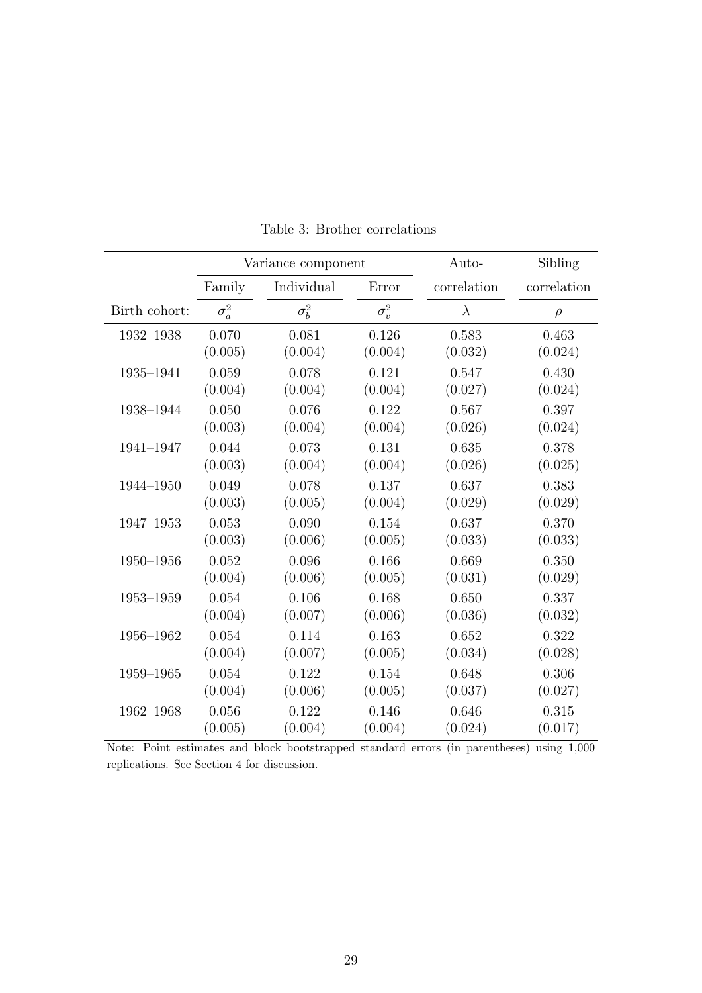|               |              | Variance component |              | Auto-       | Sibling     |
|---------------|--------------|--------------------|--------------|-------------|-------------|
|               | Family       | Individual         | Error        | correlation | correlation |
| Birth cohort: | $\sigma_a^2$ | $\sigma_b^2$       | $\sigma_v^2$ | $\lambda$   | $\rho$      |
| 1932-1938     | 0.070        | 0.081              | 0.126        | 0.583       | 0.463       |
|               | (0.005)      | (0.004)            | (0.004)      | (0.032)     | (0.024)     |
| 1935-1941     | 0.059        | 0.078              | 0.121        | 0.547       | 0.430       |
|               | (0.004)      | (0.004)            | (0.004)      | (0.027)     | (0.024)     |
| 1938-1944     | 0.050        | 0.076              | 0.122        | 0.567       | 0.397       |
|               | (0.003)      | (0.004)            | (0.004)      | (0.026)     | (0.024)     |
| 1941-1947     | 0.044        | 0.073              | 0.131        | 0.635       | 0.378       |
|               | (0.003)      | (0.004)            | (0.004)      | (0.026)     | (0.025)     |
| 1944-1950     | 0.049        | 0.078              | 0.137        | 0.637       | 0.383       |
|               | (0.003)      | (0.005)            | (0.004)      | (0.029)     | (0.029)     |
| 1947-1953     | 0.053        | 0.090              | 0.154        | 0.637       | 0.370       |
|               | (0.003)      | (0.006)            | (0.005)      | (0.033)     | (0.033)     |
| $1950 - 1956$ | 0.052        | 0.096              | 0.166        | 0.669       | 0.350       |
|               | (0.004)      | (0.006)            | (0.005)      | (0.031)     | (0.029)     |
| $1953 - 1959$ | 0.054        | 0.106              | 0.168        | 0.650       | 0.337       |
|               | (0.004)      | (0.007)            | (0.006)      | (0.036)     | (0.032)     |
| 1956-1962     | 0.054        | 0.114              | 0.163        | 0.652       | 0.322       |
|               | (0.004)      | (0.007)            | (0.005)      | (0.034)     | (0.028)     |
| 1959-1965     | 0.054        | 0.122              | 0.154        | 0.648       | 0.306       |
|               | (0.004)      | (0.006)            | (0.005)      | (0.037)     | (0.027)     |
| 1962-1968     | 0.056        | 0.122              | 0.146        | 0.646       | 0.315       |
|               | (0.005)      | (0.004)            | (0.004)      | (0.024)     | (0.017)     |

Table 3: Brother correlations

Note: Point estimates and block bootstrapped standard errors (in parentheses) using 1,000 replications. See Section 4 for discussion.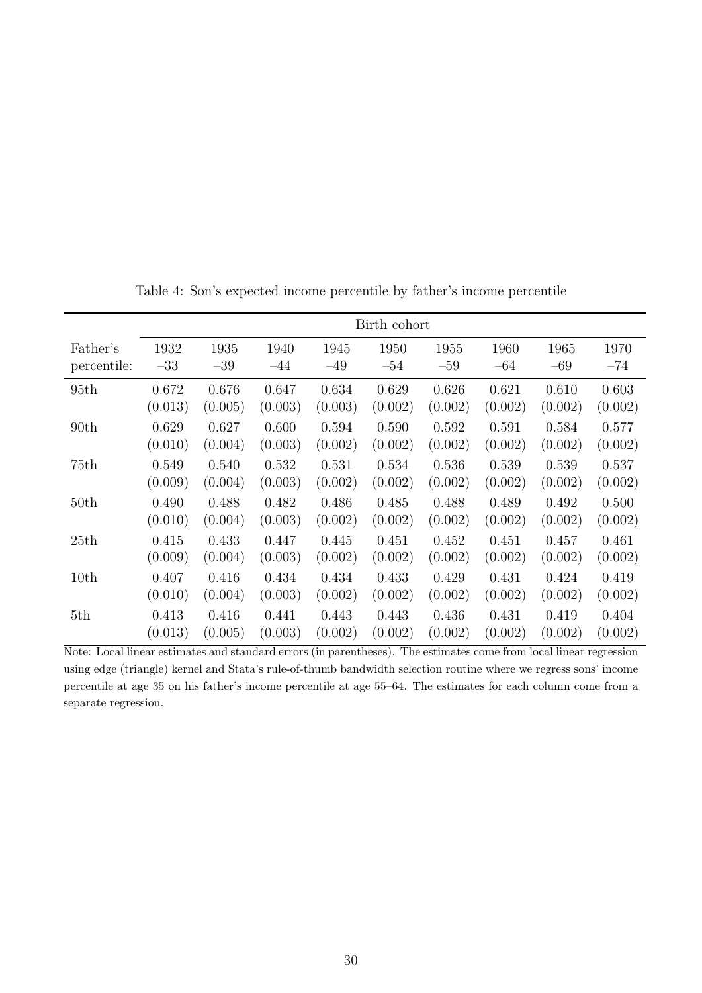|                  |         |         |         |         | Birth cohort |         |         |         |         |
|------------------|---------|---------|---------|---------|--------------|---------|---------|---------|---------|
| Father's         | 1932    | 1935    | 1940    | 1945    | 1950         | 1955    | 1960    | 1965    | 1970    |
| percentile:      | $-33$   | $-39$   | $-44$   | $-49$   | $-54$        | $-59$   | $-64$   | $-69$   | $-74$   |
| 95th             | 0.672   | 0.676   | 0.647   | 0.634   | 0.629        | 0.626   | 0.621   | 0.610   | 0.603   |
|                  | (0.013) | (0.005) | (0.003) | (0.003) | (0.002)      | (0.002) | (0.002) | (0.002) | (0.002) |
| 90 <sub>th</sub> | 0.629   | 0.627   | 0.600   | 0.594   | 0.590        | 0.592   | 0.591   | 0.584   | 0.577   |
|                  | (0.010) | (0.004) | (0.003) | (0.002) | (0.002)      | (0.002) | (0.002) | (0.002) | (0.002) |
| 75th             | 0.549   | 0.540   | 0.532   | 0.531   | 0.534        | 0.536   | 0.539   | 0.539   | 0.537   |
|                  | (0.009) | (0.004) | (0.003) | (0.002) | (0.002)      | (0.002) | (0.002) | (0.002) | (0.002) |
| 50 <sub>th</sub> | 0.490   | 0.488   | 0.482   | 0.486   | 0.485        | 0.488   | 0.489   | 0.492   | 0.500   |
|                  | (0.010) | (0.004) | (0.003) | (0.002) | (0.002)      | (0.002) | (0.002) | (0.002) | (0.002) |
| 25th             | 0.415   | 0.433   | 0.447   | 0.445   | 0.451        | 0.452   | 0.451   | 0.457   | 0.461   |
|                  | (0.009) | (0.004) | (0.003) | (0.002) | (0.002)      | (0.002) | (0.002) | (0.002) | (0.002) |
| 10th             | 0.407   | 0.416   | 0.434   | 0.434   | 0.433        | 0.429   | 0.431   | 0.424   | 0.419   |
|                  | (0.010) | (0.004) | (0.003) | (0.002) | (0.002)      | (0.002) | (0.002) | (0.002) | (0.002) |
| 5th              | 0.413   | 0.416   | 0.441   | 0.443   | 0.443        | 0.436   | 0.431   | 0.419   | 0.404   |
|                  | (0.013) | (0.005) | (0.003) | (0.002) | (0.002)      | (0.002) | (0.002) | (0.002) | (0.002) |

Table 4: Son's expected income percentile by father's income percentile

Note: Local linear estimates and standard errors (in parentheses). The estimates come from local linear regression using edge (triangle) kernel and Stata's rule-of-thumb bandwidth selection routine where we regress sons' income percentile at age 35 on his father's income percentile at age 55–64. The estimates for each column come from a separate regression.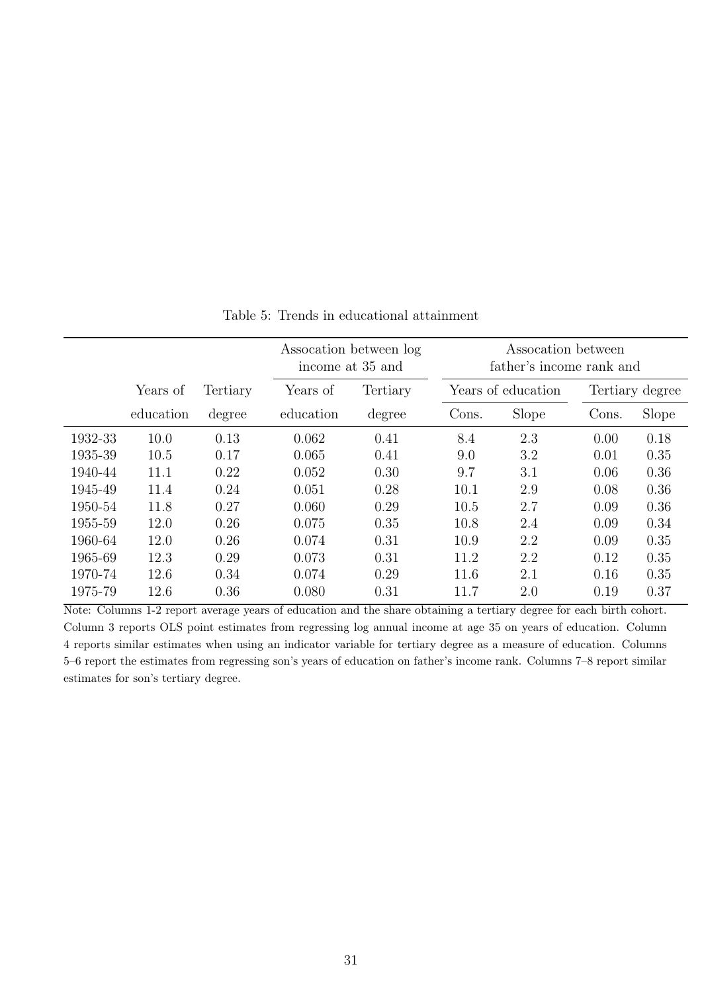|         |           |          |           | Assocation between log<br>income at 35 and |       | Assocation between<br>father's income rank and |       |                 |
|---------|-----------|----------|-----------|--------------------------------------------|-------|------------------------------------------------|-------|-----------------|
|         | Years of  | Tertiary | Years of  | Tertiary                                   |       | Years of education                             |       | Tertiary degree |
|         | education | degree   | education | degree                                     | Cons. | Slope                                          | Cons. | Slope           |
| 1932-33 | 10.0      | 0.13     | 0.062     | 0.41                                       | 8.4   | 2.3                                            | 0.00  | 0.18            |
| 1935-39 | 10.5      | 0.17     | 0.065     | 0.41                                       | 9.0   | 3.2                                            | 0.01  | 0.35            |
| 1940-44 | 11.1      | 0.22     | 0.052     | 0.30                                       | 9.7   | 3.1                                            | 0.06  | 0.36            |
| 1945-49 | 11.4      | 0.24     | 0.051     | 0.28                                       | 10.1  | 2.9                                            | 0.08  | 0.36            |
| 1950-54 | 11.8      | 0.27     | 0.060     | 0.29                                       | 10.5  | 2.7                                            | 0.09  | 0.36            |
| 1955-59 | 12.0      | 0.26     | 0.075     | 0.35                                       | 10.8  | 2.4                                            | 0.09  | 0.34            |
| 1960-64 | 12.0      | 0.26     | 0.074     | 0.31                                       | 10.9  | 2.2                                            | 0.09  | 0.35            |
| 1965-69 | 12.3      | 0.29     | 0.073     | 0.31                                       | 11.2  | 2.2                                            | 0.12  | 0.35            |
| 1970-74 | 12.6      | 0.34     | 0.074     | 0.29                                       | 11.6  | 2.1                                            | 0.16  | 0.35            |
| 1975-79 | 12.6      | 0.36     | 0.080     | 0.31                                       | 11.7  | 2.0                                            | 0.19  | 0.37            |

Table 5: Trends in educational attainment

Note: Columns 1-2 report average years of education and the share obtaining a tertiary degree for each birth cohort. Column 3 reports OLS point estimates from regressing log annual income at age 35 on years of education. Column 4 reports similar estimates when using an indicator variable for tertiary degree as a measure of education. Columns 5–6 report the estimates from regressing son's years of education on father's income rank. Columns 7–8 report similar estimates for son's tertiary degree.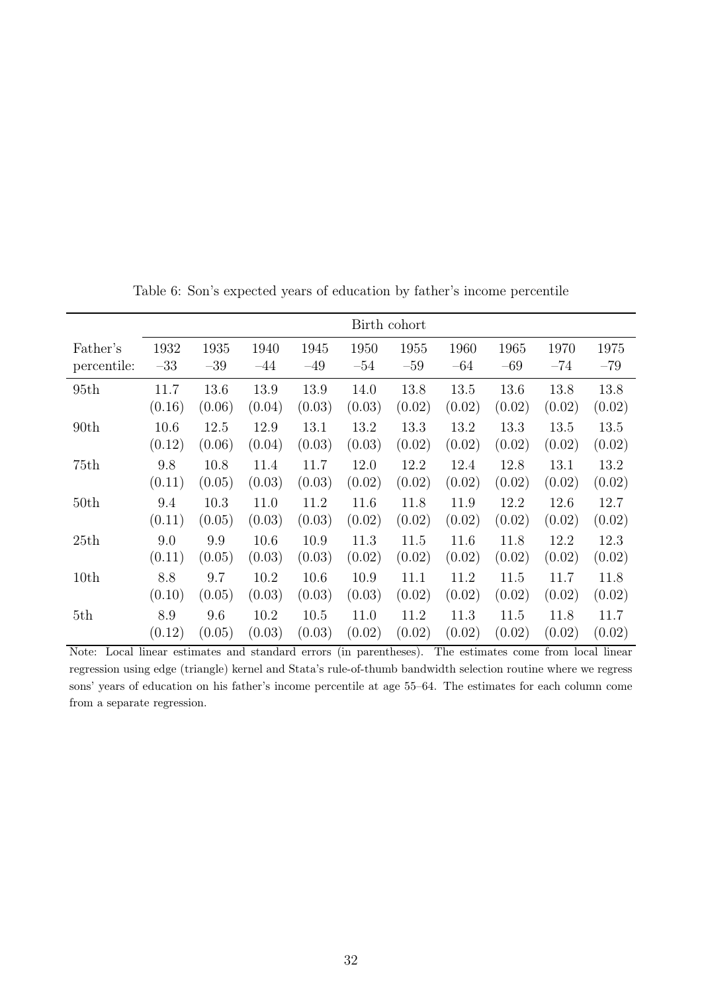|                  |        |        |        |        |        | Birth cohort |        |        |        |        |
|------------------|--------|--------|--------|--------|--------|--------------|--------|--------|--------|--------|
| Father's         | 1932   | 1935   | 1940   | 1945   | 1950   | 1955         | 1960   | 1965   | 1970   | 1975   |
| percentile:      | $-33$  | $-39$  | $-44$  | $-49$  | $-54$  | $-59$        | $-64$  | $-69$  | $-74$  | $-79$  |
| 95th             | 11.7   | 13.6   | 13.9   | 13.9   | 14.0   | 13.8         | 13.5   | 13.6   | 13.8   | 13.8   |
|                  | (0.16) | (0.06) | (0.04) | (0.03) | (0.03) | (0.02)       | (0.02) | (0.02) | (0.02) | (0.02) |
| 90 <sub>th</sub> | 10.6   | 12.5   | 12.9   | 13.1   | 13.2   | 13.3         | 13.2   | 13.3   | 13.5   | 13.5   |
|                  | (0.12) | (0.06) | (0.04) | (0.03) | (0.03) | (0.02)       | (0.02) | (0.02) | (0.02) | (0.02) |
| 75th             | 9.8    | 10.8   | 11.4   | 11.7   | 12.0   | 12.2         | 12.4   | 12.8   | 13.1   | 13.2   |
|                  | (0.11) | (0.05) | (0.03) | (0.03) | (0.02) | (0.02)       | (0.02) | (0.02) | (0.02) | (0.02) |
| 50th             | 9.4    | 10.3   | 11.0   | 11.2   | 11.6   | 11.8         | 11.9   | 12.2   | 12.6   | 12.7   |
|                  | (0.11) | (0.05) | (0.03) | (0.03) | (0.02) | (0.02)       | (0.02) | (0.02) | (0.02) | (0.02) |
| 25th             | 9.0    | 9.9    | 10.6   | 10.9   | 11.3   | 11.5         | 11.6   | 11.8   | 12.2   | 12.3   |
|                  | (0.11) | (0.05) | (0.03) | (0.03) | (0.02) | (0.02)       | (0.02) | (0.02) | (0.02) | (0.02) |
| 10th             | 8.8    | 9.7    | 10.2   | 10.6   | 10.9   | 11.1         | 11.2   | 11.5   | 11.7   | 11.8   |
|                  | (0.10) | (0.05) | (0.03) | (0.03) | (0.03) | (0.02)       | (0.02) | (0.02) | (0.02) | (0.02) |
| 5th              | 8.9    | 9.6    | 10.2   | 10.5   | 11.0   | 11.2         | 11.3   | 11.5   | 11.8   | 11.7   |
|                  | (0.12) | (0.05) | (0.03) | (0.03) | (0.02) | (0.02)       | (0.02) | (0.02) | (0.02) | (0.02) |

Table 6: Son's expected years of education by father's income percentile

Note: Local linear estimates and standard errors (in parentheses). The estimates come from local linear regression using edge (triangle) kernel and Stata's rule-of-thumb bandwidth selection routine where we regress sons' years of education on his father's income percentile at age 55–64. The estimates for each column come from a separate regression.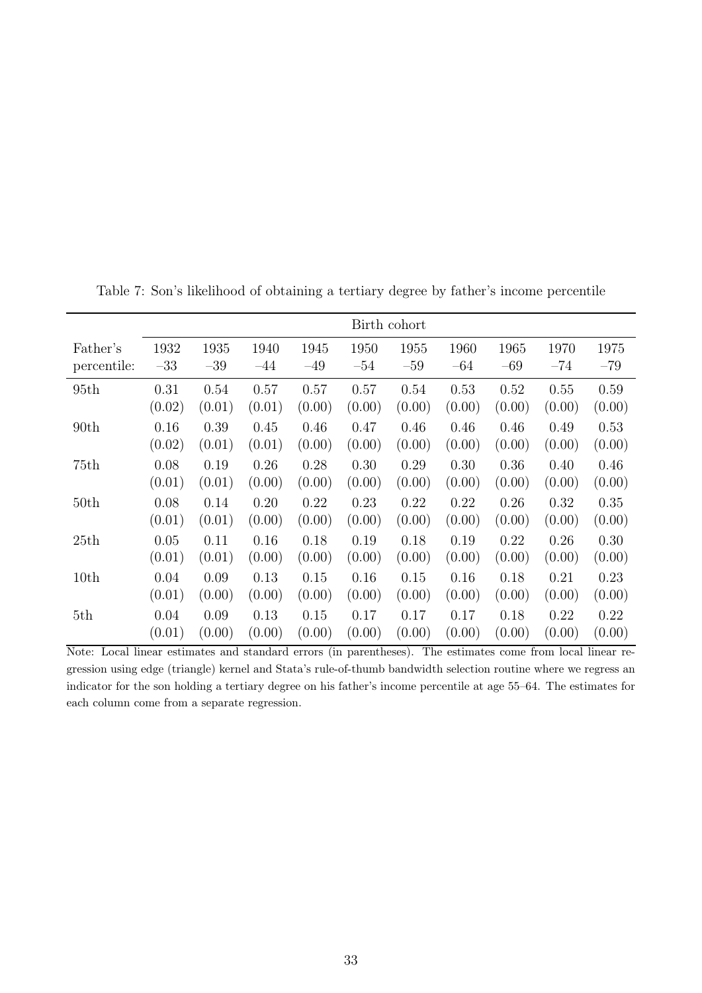|                  |        |        |        |        |        | Birth cohort |        |        |        |        |
|------------------|--------|--------|--------|--------|--------|--------------|--------|--------|--------|--------|
| Father's         | 1932   | 1935   | 1940   | 1945   | 1950   | 1955         | 1960   | 1965   | 1970   | 1975   |
| percentile:      | $-33$  | $-39$  | $-44$  | $-49$  | $-54$  | $-59$        | $-64$  | $-69$  | $-74$  | $-79$  |
| 95th             | 0.31   | 0.54   | 0.57   | 0.57   | 0.57   | 0.54         | 0.53   | 0.52   | 0.55   | 0.59   |
|                  | (0.02) | (0.01) | (0.01) | (0.00) | (0.00) | (0.00)       | (0.00) | (0.00) | (0.00) | (0.00) |
| 90 <sub>th</sub> | 0.16   | 0.39   | 0.45   | 0.46   | 0.47   | 0.46         | 0.46   | 0.46   | 0.49   | 0.53   |
|                  | (0.02) | (0.01) | (0.01) | (0.00) | (0.00) | (0.00)       | (0.00) | (0.00) | (0.00) | (0.00) |
| 75th             | 0.08   | 0.19   | 0.26   | 0.28   | 0.30   | 0.29         | 0.30   | 0.36   | 0.40   | 0.46   |
|                  | (0.01) | (0.01) | (0.00) | (0.00) | (0.00) | (0.00)       | (0.00) | (0.00) | (0.00) | (0.00) |
| 50th             | 0.08   | 0.14   | 0.20   | 0.22   | 0.23   | 0.22         | 0.22   | 0.26   | 0.32   | 0.35   |
|                  | (0.01) | (0.01) | (0.00) | (0.00) | (0.00) | (0.00)       | (0.00) | (0.00) | (0.00) | (0.00) |
| 25th             | 0.05   | 0.11   | 0.16   | 0.18   | 0.19   | 0.18         | 0.19   | 0.22   | 0.26   | 0.30   |
|                  | (0.01) | (0.01) | (0.00) | (0.00) | (0.00) | (0.00)       | (0.00) | (0.00) | (0.00) | (0.00) |
| 10th             | 0.04   | 0.09   | 0.13   | 0.15   | 0.16   | 0.15         | 0.16   | 0.18   | 0.21   | 0.23   |
|                  | (0.01) | (0.00) | (0.00) | (0.00) | (0.00) | (0.00)       | (0.00) | (0.00) | (0.00) | (0.00) |
| 5th              | 0.04   | 0.09   | 0.13   | 0.15   | 0.17   | 0.17         | 0.17   | 0.18   | 0.22   | 0.22   |
|                  | (0.01) | (0.00) | (0.00) | (0.00) | (0.00) | (0.00)       | (0.00) | (0.00) | (0.00) | (0.00) |

Table 7: Son's likelihood of obtaining a tertiary degree by father's income percentile

Note: Local linear estimates and standard errors (in parentheses). The estimates come from local linear regression using edge (triangle) kernel and Stata's rule-of-thumb bandwidth selection routine where we regress an indicator for the son holding a tertiary degree on his father's income percentile at age 55–64. The estimates for each column come from a separate regression.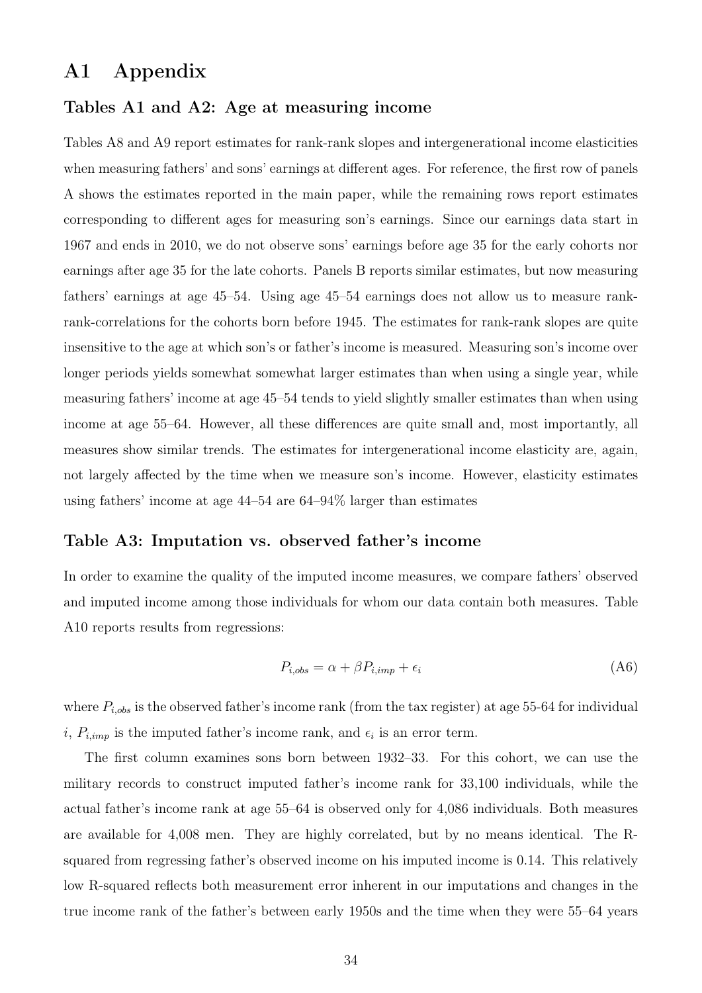### A1 Appendix

#### Tables A1 and A2: Age at measuring income

Tables A8 and A9 report estimates for rank-rank slopes and intergenerational income elasticities when measuring fathers' and sons' earnings at different ages. For reference, the first row of panels A shows the estimates reported in the main paper, while the remaining rows report estimates corresponding to different ages for measuring son's earnings. Since our earnings data start in 1967 and ends in 2010, we do not observe sons' earnings before age 35 for the early cohorts nor earnings after age 35 for the late cohorts. Panels B reports similar estimates, but now measuring fathers' earnings at age 45–54. Using age 45–54 earnings does not allow us to measure rankrank-correlations for the cohorts born before 1945. The estimates for rank-rank slopes are quite insensitive to the age at which son's or father's income is measured. Measuring son's income over longer periods yields somewhat somewhat larger estimates than when using a single year, while measuring fathers' income at age 45–54 tends to yield slightly smaller estimates than when using income at age 55–64. However, all these differences are quite small and, most importantly, all measures show similar trends. The estimates for intergenerational income elasticity are, again, not largely affected by the time when we measure son's income. However, elasticity estimates using fathers' income at age 44–54 are 64–94% larger than estimates

#### Table A3: Imputation vs. observed father's income

In order to examine the quality of the imputed income measures, we compare fathers' observed and imputed income among those individuals for whom our data contain both measures. Table A10 reports results from regressions:

$$
P_{i,obs} = \alpha + \beta P_{i,imp} + \epsilon_i \tag{A6}
$$

where  $P_{i,obs}$  is the observed father's income rank (from the tax register) at age 55-64 for individual i,  $P_{i,imp}$  is the imputed father's income rank, and  $\epsilon_i$  is an error term.

The first column examines sons born between 1932–33. For this cohort, we can use the military records to construct imputed father's income rank for 33,100 individuals, while the actual father's income rank at age 55–64 is observed only for 4,086 individuals. Both measures are available for 4,008 men. They are highly correlated, but by no means identical. The Rsquared from regressing father's observed income on his imputed income is 0.14. This relatively low R-squared reflects both measurement error inherent in our imputations and changes in the true income rank of the father's between early 1950s and the time when they were 55–64 years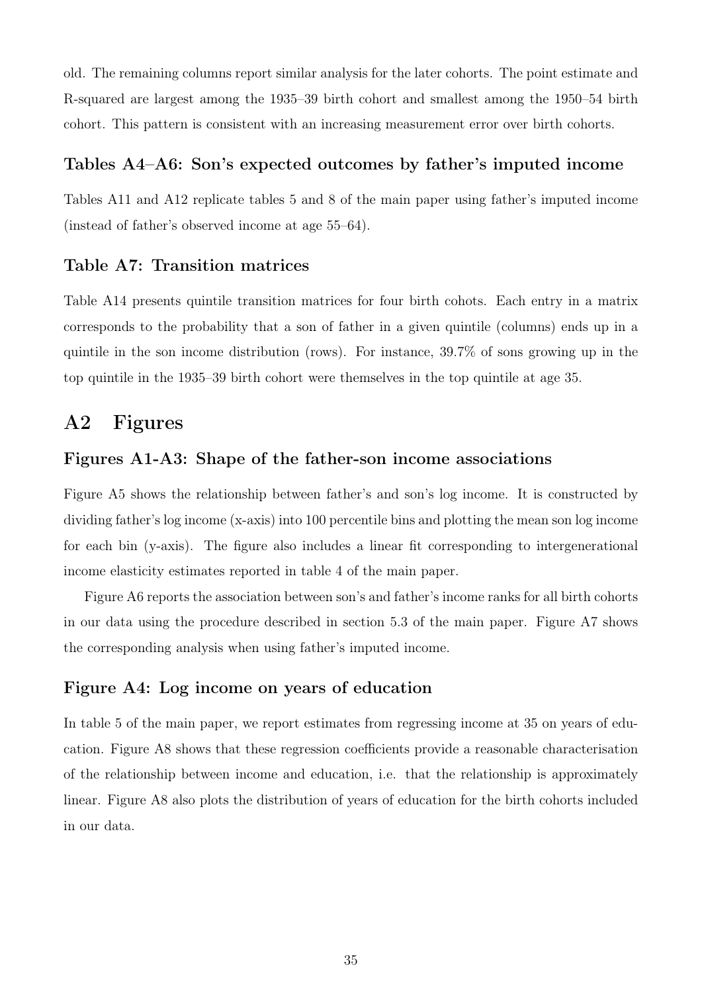old. The remaining columns report similar analysis for the later cohorts. The point estimate and R-squared are largest among the 1935–39 birth cohort and smallest among the 1950–54 birth cohort. This pattern is consistent with an increasing measurement error over birth cohorts.

#### Tables A4–A6: Son's expected outcomes by father's imputed income

Tables A11 and A12 replicate tables 5 and 8 of the main paper using father's imputed income (instead of father's observed income at age 55–64).

#### Table A7: Transition matrices

Table A14 presents quintile transition matrices for four birth cohots. Each entry in a matrix corresponds to the probability that a son of father in a given quintile (columns) ends up in a quintile in the son income distribution (rows). For instance, 39.7% of sons growing up in the top quintile in the 1935–39 birth cohort were themselves in the top quintile at age 35.

# A2 Figures

#### Figures A1-A3: Shape of the father-son income associations

Figure A5 shows the relationship between father's and son's log income. It is constructed by dividing father's log income (x-axis) into 100 percentile bins and plotting the mean son log income for each bin (y-axis). The figure also includes a linear fit corresponding to intergenerational income elasticity estimates reported in table 4 of the main paper.

Figure A6 reports the association between son's and father's income ranks for all birth cohorts in our data using the procedure described in section 5.3 of the main paper. Figure A7 shows the corresponding analysis when using father's imputed income.

#### Figure A4: Log income on years of education

In table 5 of the main paper, we report estimates from regressing income at 35 on years of education. Figure A8 shows that these regression coefficients provide a reasonable characterisation of the relationship between income and education, i.e. that the relationship is approximately linear. Figure A8 also plots the distribution of years of education for the birth cohorts included in our data.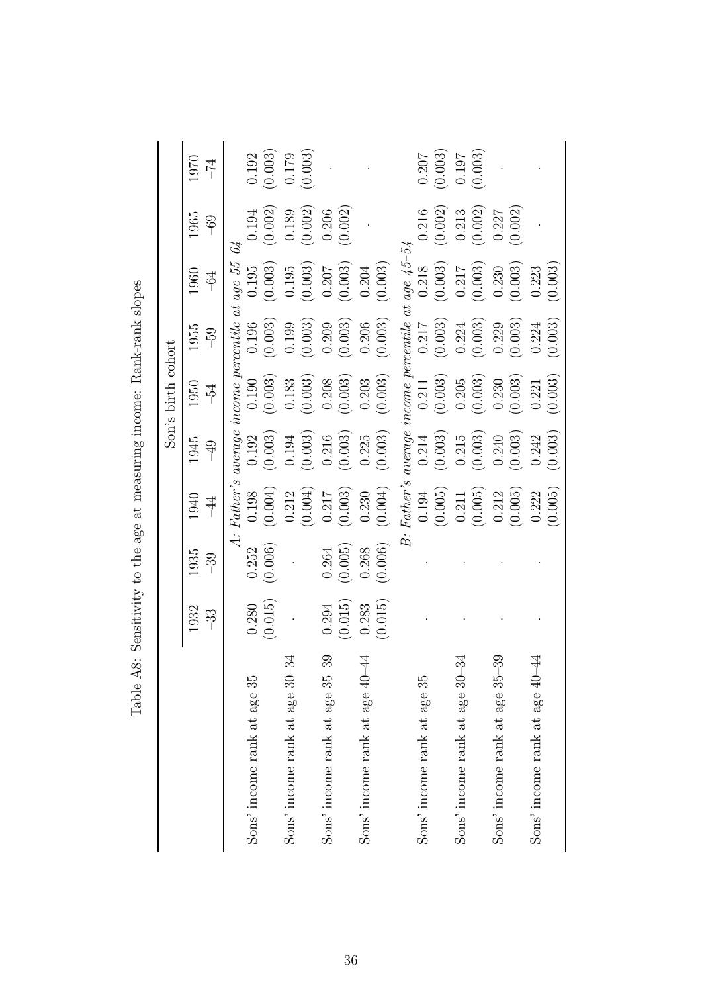|                                                |               |                 |               |                       | Son's birth cohort |                                                   |               |               |            |
|------------------------------------------------|---------------|-----------------|---------------|-----------------------|--------------------|---------------------------------------------------|---------------|---------------|------------|
|                                                | 1932<br>$-33$ | 1935<br>$-39$   | 1940<br>$-44$ | 1945<br>$\frac{6}{7}$ | 1950<br>$-5-1$     | 1955<br>$-59$                                     | 1960<br>$-64$ | 1965<br>$-69$ | 1970<br>74 |
|                                                |               | $\dot{\vec{A}}$ |               |                       |                    | Father's average income percentile at age $55-64$ |               |               |            |
| Sons' income rank at age 35                    | 0.280         | 0.252           | 0.198         | 0.192                 | 0.190              | 0.196                                             | 0.195         | 0.194         | 0.192      |
|                                                | (0.015)       | (0.006)         | (0.004)       | (0.003)               | (0.003)            | (0.003)                                           | (0.003)       | (0.002)       | (0.003)    |
| -34<br>Sons' income rank at age 30             |               |                 | 0.212         | 0.194                 | 0.183              | 0.199                                             | 0.195         | 0.189         | 0.179      |
|                                                |               |                 | (0.004)       | (0.003)               | (0.003)            | (0.003)                                           | (0.003)       | (0.002)       | (0.003)    |
| 39<br>Sons' income rank at age 35              | 0.294         | 0.264           | 0.217         | 0.216                 | 0.208              | 0.209                                             | 0.207         | 0.206         |            |
|                                                | (0.015)       | (0.005)         | (0.003)       | (0.003)               | (0.003)            | (0.003)                                           | (0.003)       | (0.002)       |            |
| $\overline{4}$<br>Sons' income rank at age 40- | 0.283         | 0.268           | 0.230         | 0.225                 | 0.203              | 0.206                                             | 0.204         |               |            |
|                                                | (0.015)       | (0.006)         | (0.004)       | (0.003)               | (0.003)            | (0.003)                                           | (0.003)       |               |            |
|                                                |               | $\dot{E}$       | $Father's$    |                       |                    | $average$ income percentile at age $45-54$        |               |               |            |
| Sons' income rank at age 35                    |               |                 | 0.194         | 0.214                 | 0.211              | 0.217                                             | 0.218         | 0.216         | 0.207      |
|                                                |               |                 | (0.005)       | (0.003)               | (0.003)            | (0.003)                                           | (0.003)       | (0.002)       | (0.003)    |
| ್ರೆ4<br>Sons' income rank at age 30            |               |                 | $0.211\,$     | 0.215                 | 0.205              | 0.224                                             | $0.217$       | 0.213         | 0.197      |
|                                                |               |                 | (0.005)       | (0.003)               | (0.003)            | (0.003)                                           | (0.003)       | (0.002)       | (0.003)    |
| 39<br>Sons' income rank at age 35-             |               |                 | 0.212         | 0.240                 | 0.230              | 0.229                                             | 0.230         | 0.227         |            |
|                                                |               |                 | (0.005)       | (0.003)               | (0.003)            | (0.003)                                           | (0.003)       | (0.002)       |            |
| 4<br>Sons' income rank at age 40-              |               |                 | 0.222         | 0.242                 | 0.221              | 0.224                                             | 0.223         |               |            |
|                                                |               |                 | (0.005)       | (0.003)               | (0.003)            | (0.003)                                           | (0.003)       |               |            |

Table A8: Sensitivity to the age at measuring income: Rank-rank slopes Table A8: Sensitivity to the age at measuring income: Rank-rank slopes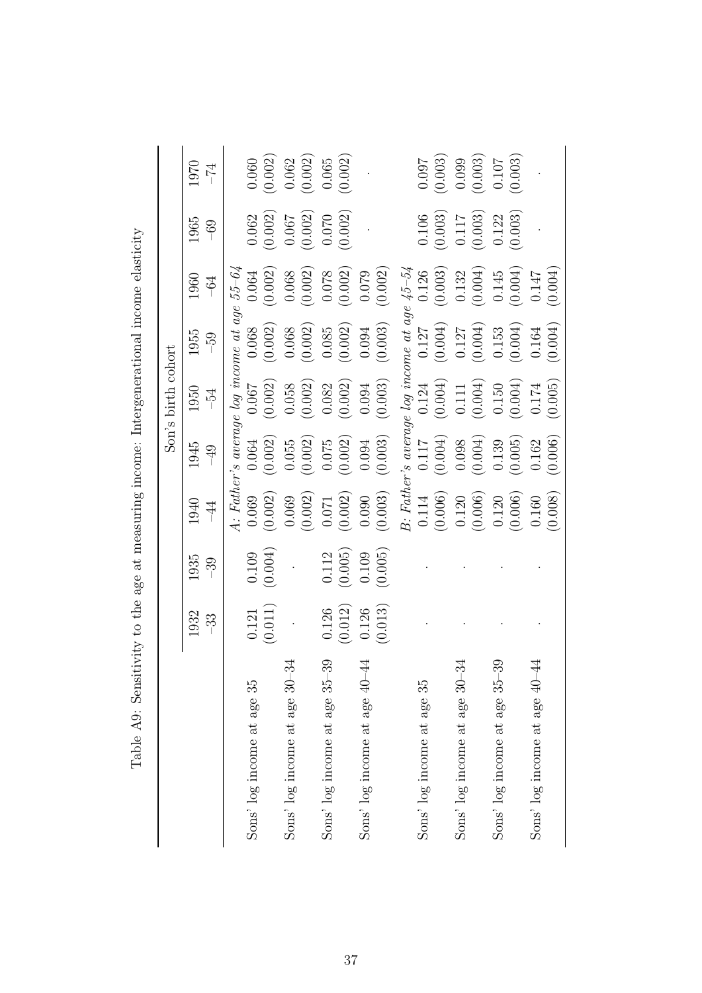| Table A9: Sensitivity to the age at measuring income: Intergenerational income elasticity |         |         |                |           |                                                                                                                                                                                                                                                                              |           |                      |                         |                      |
|-------------------------------------------------------------------------------------------|---------|---------|----------------|-----------|------------------------------------------------------------------------------------------------------------------------------------------------------------------------------------------------------------------------------------------------------------------------------|-----------|----------------------|-------------------------|----------------------|
|                                                                                           |         |         |                |           | Son's birth cohort                                                                                                                                                                                                                                                           |           |                      |                         |                      |
|                                                                                           | 1932    | 1935    | 1940           | 1945      | 1950                                                                                                                                                                                                                                                                         | 1955      | 1960                 | 1965                    | 1970                 |
|                                                                                           | $-33$   | $-39$   | $\overline{4}$ | $-49$     | $-54$                                                                                                                                                                                                                                                                        | $-59$     | $-64$                | $-69$                   | $-74$                |
|                                                                                           |         |         |                |           |                                                                                                                                                                                                                                                                              |           |                      |                         |                      |
| Sons' log income at age 35                                                                | 0.121   | 0.109   |                |           |                                                                                                                                                                                                                                                                              |           |                      | 0.062                   | 0.060                |
|                                                                                           | (0.011) | (0.004) |                |           | A: Father's average log income at age $55-64$<br>$0.069$ 0.064 0.067 0.068 0.064<br>$(0.002)$ $(0.002)$ $(0.002)$ $(0.002)$ $(0.002)$<br>$0.069$ 0.055 0.058 0.068 0.068<br>$(0.002)$ $(0.003)$ $(0.003)$ $(0.003)$                                                          |           |                      | (0.002)                 | $\left(0.002\right)$ |
| $\mathfrak{Z}^4$<br>Sons' log income at age 30                                            |         |         |                |           |                                                                                                                                                                                                                                                                              |           |                      |                         |                      |
|                                                                                           |         |         |                |           |                                                                                                                                                                                                                                                                              |           |                      | $\frac{0.067}{(0.002)}$ | $0.062$<br>(0.002)   |
| 39<br>Sons' log income at age 35                                                          | 0.126   | 0.112   | $0.071\,$      | $0.075\,$ | 0.082                                                                                                                                                                                                                                                                        | 0.085     |                      |                         |                      |
|                                                                                           | (0.012) | (0.005) | (0.002)        | (0.002)   | (0.002)                                                                                                                                                                                                                                                                      | (0.002)   | (0.078)              | (0.070)                 | (0.065)              |
| $\ddot{4}$<br>Sons' log income at age 40                                                  | 0.126   | 0.109   | 0.090          | 0.094     | $0.094\,$                                                                                                                                                                                                                                                                    | $0.094\,$ | 0.079                |                         |                      |
|                                                                                           | (0.013) | (0.005) | (0.003)        | (0.003)   | (0.003)                                                                                                                                                                                                                                                                      | (0.003)   | (0.002)              |                         |                      |
|                                                                                           |         |         |                |           |                                                                                                                                                                                                                                                                              |           |                      |                         |                      |
| 35<br>Sons' log income at age                                                             |         |         |                |           |                                                                                                                                                                                                                                                                              |           |                      | 0.106                   | 0.097                |
|                                                                                           |         |         |                |           |                                                                                                                                                                                                                                                                              |           |                      | (0.003)                 | (0.003)              |
| $-34$<br>Sons' log income at age 30                                                       |         |         |                |           |                                                                                                                                                                                                                                                                              |           |                      | $(0.117$<br>(0.003)     |                      |
|                                                                                           |         |         |                |           | $\begin{array}{ll} \textit{B: Father's average log income at age } \textit{45-54} \\ 0.114 & 0.117 & 0.124 & 0.127 & 0.126 \\ (0.006) & (0.004) & (0.004) & (0.004) & (0.003) \\ 0.120 & 0.098 & 0.111 & 0.127 & 0.132 \\ (0.006) & (0.004) & (0.004) & (0.003) \end{array}$ |           |                      |                         | (0.099)              |
| 39<br>Sons' log income at age 35                                                          |         |         | $0.120\,$      | 0.139     | $0.150\,$                                                                                                                                                                                                                                                                    | 0.153     |                      | 0.122                   | $0.107\,$            |
|                                                                                           |         |         | (0.006)        | (0.005)   | (0.004)                                                                                                                                                                                                                                                                      | (0.004)   | $(0.145)$<br>(0.004) | (0.003)                 | (0.003)              |
| $\ddot{4}$<br>Sons' log income at age 40                                                  |         |         | 0.160          | 0.162     | $0.174\,$                                                                                                                                                                                                                                                                    | $0.164\,$ | 0.147                |                         |                      |
|                                                                                           |         |         | (0.008)        | (0.006)   | (0.005)                                                                                                                                                                                                                                                                      | (0.004)   | (0.004)              |                         |                      |

 $\ddot{\cdot}$ Í j. þ j  $\vdots$  $\vec{a}$  $\tilde{\Omega}$  $T_{\alpha}$ <sub>k</sub> $1_{\alpha}$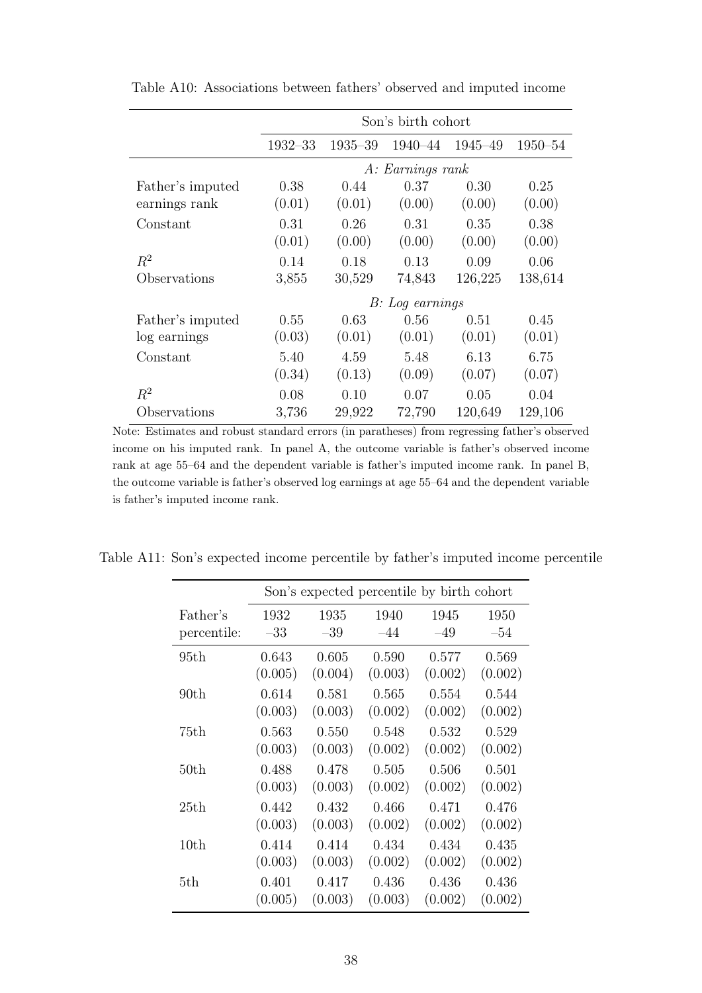|                  |             |             | Son's birth cohort |         |             |
|------------------|-------------|-------------|--------------------|---------|-------------|
|                  | $1932 - 33$ | $1935 - 39$ | 1940-44            | 1945-49 | $1950 - 54$ |
|                  |             |             | A: Earnings rank   |         |             |
| Father's imputed | 0.38        | 0.44        | 0.37               | 0.30    | 0.25        |
| earnings rank    | (0.01)      | (0.01)      | (0.00)             | (0.00)  | (0.00)      |
| Constant         | 0.31        | 0.26        | 0.31               | 0.35    | 0.38        |
|                  | (0.01)      | (0.00)      | (0.00)             | (0.00)  | (0.00)      |
| $R^2$            | 0.14        | 0.18        | 0.13               | 0.09    | 0.06        |
| Observations     | 3,855       | 30,529      | 74,843             | 126,225 | 138,614     |
|                  |             |             | B: Log earnings    |         |             |
| Father's imputed | 0.55        | 0.63        | 0.56               | 0.51    | 0.45        |
| log earnings     | (0.03)      | (0.01)      | (0.01)             | (0.01)  | (0.01)      |
| Constant         | 5.40        | 4.59        | 5.48               | 6.13    | 6.75        |
|                  | (0.34)      | (0.13)      | (0.09)             | (0.07)  | (0.07)      |
| $R^2$            | 0.08        | 0.10        | 0.07               | 0.05    | 0.04        |
| Observations     | 3,736       | 29,922      | 72,790             | 120,649 | 129,106     |

Table A10: Associations between fathers' observed and imputed income

Note: Estimates and robust standard errors (in paratheses) from regressing father's observed income on his imputed rank. In panel A, the outcome variable is father's observed income rank at age 55–64 and the dependent variable is father's imputed income rank. In panel B, the outcome variable is father's observed log earnings at age 55–64 and the dependent variable is father's imputed income rank.

|             |         | Son's expected percentile by birth cohort |         |         |         |
|-------------|---------|-------------------------------------------|---------|---------|---------|
| Father's    | 1932    | 1935                                      | 1940    | 1945    | 1950    |
| percentile: | $-33$   | $-39$                                     | $-44$   | $-49$   | $-54$   |
| 95th        | 0.643   | 0.605                                     | 0.590   | 0.577   | 0.569   |
|             | (0.005) | (0.004)                                   | (0.003) | (0.002) | (0.002) |
| 90th        | 0.614   | 0.581                                     | 0.565   | 0.554   | 0.544   |
|             | (0.003) | (0.003)                                   | (0.002) | (0.002) | (0.002) |
| 75th        | 0.563   | 0.550                                     | 0.548   | 0.532   | 0.529   |
|             | (0.003) | (0.003)                                   | (0.002) | (0.002) | (0.002) |
| 50th        | 0.488   | 0.478                                     | 0.505   | 0.506   | 0.501   |
|             | (0.003) | (0.003)                                   | (0.002) | (0.002) | (0.002) |
| 25th        | 0.442   | 0.432                                     | 0.466   | 0.471   | 0.476   |
|             | (0.003) | (0.003)                                   | (0.002) | (0.002) | (0.002) |
| 10th        | 0.414   | 0.414                                     | 0.434   | 0.434   | 0.435   |
|             | (0.003) | (0.003)                                   | (0.002) | (0.002) | (0.002) |
| 5th         | 0.401   | 0.417                                     | 0.436   | 0.436   | 0.436   |
|             | (0.005) | (0.003)                                   | (0.003) | (0.002) | (0.002) |

Table A11: Son's expected income percentile by father's imputed income percentile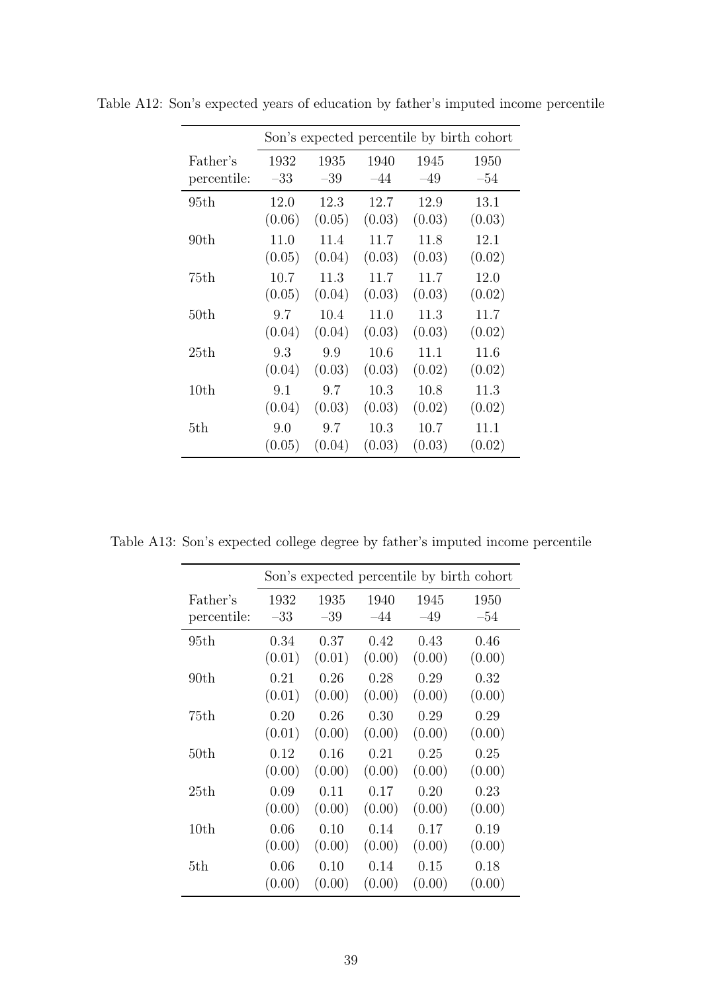|             |        |        |        |        | Son's expected percentile by birth cohort |
|-------------|--------|--------|--------|--------|-------------------------------------------|
| Father's    | 1932   | 1935   | 1940   | 1945   | 1950                                      |
| percentile: | $-33$  | $-39$  | $-44$  | $-49$  | $-54$                                     |
| 95th        | 12.0   | 12.3   | 12.7   | 12.9   | 13.1                                      |
|             | (0.06) | (0.05) | (0.03) | (0.03) | (0.03)                                    |
| 90th        | 11.0   | 11.4   | 11.7   | 11.8   | 12.1                                      |
|             | (0.05) | (0.04) | (0.03) | (0.03) | (0.02)                                    |
| 75th        | 10.7   | 11.3   | 11.7   | 11.7   | 12.0                                      |
|             | (0.05) | (0.04) | (0.03) | (0.03) | (0.02)                                    |
| 50th        | 9.7    | 10.4   | 11.0   | 11.3   | 11.7                                      |
|             | (0.04) | (0.04) | (0.03) | (0.03) | (0.02)                                    |
| 25th        | 9.3    | 9.9    | 10.6   | 11.1   | 11.6                                      |
|             | (0.04) | (0.03) | (0.03) | (0.02) | (0.02)                                    |
| 10th        | 9.1    | 9.7    | 10.3   | 10.8   | 11.3                                      |
|             | (0.04) | (0.03) | (0.03) | (0.02) | (0.02)                                    |
| 5th         | 9.0    | 9.7    | 10.3   | 10.7   | 11.1                                      |
|             | (0.05) | (0.04) | (0.03) | (0.03) | (0.02)                                    |

Table A12: Son's expected years of education by father's imputed income percentile

Table A13: Son's expected college degree by father's imputed income percentile

|             |        |        |        |        | Son's expected percentile by birth cohort |
|-------------|--------|--------|--------|--------|-------------------------------------------|
| Father's    | 1932   | 1935   | 1940   | 1945   | 1950                                      |
| percentile: | $-33$  | $-39$  | $-44$  | $-49$  | $-54$                                     |
| 95th        | 0.34   | 0.37   | 0.42   | 0.43   | 0.46                                      |
|             | (0.01) | (0.01) | (0.00) | (0.00) | (0.00)                                    |
| 90th        | 0.21   | 0.26   | 0.28   | 0.29   | 0.32                                      |
|             | (0.01) | (0.00) | (0.00) | (0.00) | (0.00)                                    |
| 75th        | 0.20   | 0.26   | 0.30   | 0.29   | 0.29                                      |
|             | (0.01) | (0.00) | (0.00) | (0.00) | (0.00)                                    |
| 50th        | 0.12   | 0.16   | 0.21   | 0.25   | 0.25                                      |
|             | (0.00) | (0.00) | (0.00) | (0.00) | (0.00)                                    |
| 25th        | 0.09   | 0.11   | 0.17   | 0.20   | 0.23                                      |
|             | (0.00) | (0.00) | (0.00) | (0.00) | (0.00)                                    |
| 10th        | 0.06   | 0.10   | 0.14   | 0.17   | 0.19                                      |
|             | (0.00) | (0.00) | (0.00) | (0.00) | (0.00)                                    |
| 5th         | 0.06   | 0.10   | 0.14   | 0.15   | 0.18                                      |
|             | (0.00) | (0.00) | (0.00) | (0.00) | (0.00)                                    |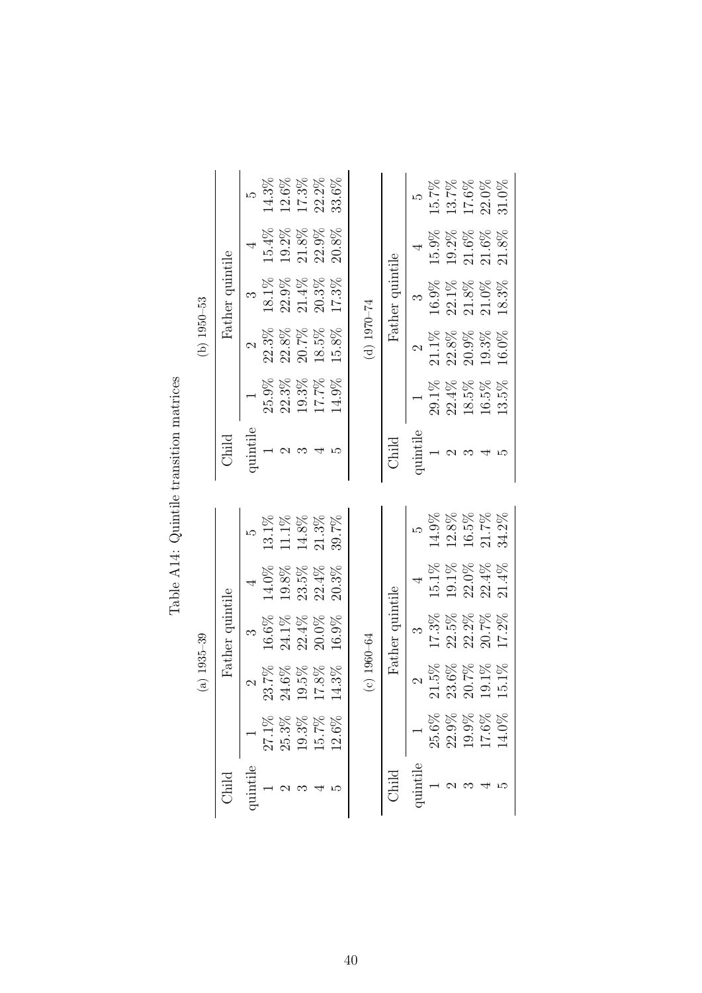|              |                                  |                 |                 |          |          | Able A14: Quintustantial information |          |                 |                 |          |          |
|--------------|----------------------------------|-----------------|-----------------|----------|----------|--------------------------------------|----------|-----------------|-----------------|----------|----------|
|              |                                  | $(a)$ 1935-39   |                 |          |          |                                      |          | $(b)$ 1950-53   |                 |          |          |
| Child        |                                  |                 | Father quintile |          |          | Child                                |          |                 | Father quintile |          |          |
| quintile     |                                  | $\mathcal{C}$   | ಣ               |          | ω        | quintile                             |          | $\mathcal{C}$   | ಌ               |          |          |
|              | $27.1\%$                         | 23.7%           | 16.6%           | 14.0%    | $13.1\%$ |                                      | 25.9%    | 22.3%           | 18.1%           | $15.4\%$ | $14.3\%$ |
|              | $\frac{25.3\%}{19.3\%}$ 19.3%    | $24.6\%$        | 24.1%           | 19.8%    | 11.1%    |                                      | 22.3%    | 22.8%           | $22.9\%$        | 19.2%    | 12.6%    |
|              |                                  | 19.5%           | $22.4\%$        | 23.5%    | $14.8\%$ | ಌ                                    | 19.3%    | 20.7%           | $21.4\%$        | $21.8\%$ | 17.3%    |
|              |                                  | 17.8%           | 20.0%           | $22.4\%$ | $21.3\%$ |                                      | 17.7%    | 18.5%           | 20.3%           | 22.9%    | 22.2%    |
|              | $12.6\%$                         | 4.3%            | 16.9%           | 20.3%    | 39.7%    | ω                                    | 14.9%    | 15.8%           | 17.3%           | $20.8\%$ | 33.6%    |
|              |                                  | $(c) 1960 - 64$ |                 |          |          |                                      |          | (b) $1970 - 74$ |                 |          |          |
| <b>Child</b> |                                  |                 | Father quintile |          |          | Child                                |          |                 | Father quintile |          |          |
| quintile     |                                  | $\mathcal{C}$   |                 |          |          | quintile                             |          | $\mathcal{C}$   |                 |          | LΩ       |
|              |                                  | $21.5\%$        | 17.3%           | 15.1%    | 14.9%    |                                      | $29.1\%$ | 21.1%           | 16.9%           | 15.9%    | 15.7%    |
|              |                                  | 23.6%           | 22.5%           | 19.1%    | $12.8\%$ |                                      | $22.4\%$ | 22.8%           | 22.1%           | 19.2%    | 13.7%    |
|              | 25.6%<br>22.9%<br>17.6%<br>14.0% | 20.7%           | 22.2%           | 22.0%    | 16.5%    |                                      | 18.5%    | 20.9%           | $21.8\%$        | 21.6%    | 17.6%    |
|              |                                  | 19.1%           | 20.7%           | $22.4\%$ | 21.7%    |                                      | 16.5%    | 19.3%           | 21.0%           | $21.6\%$ | $22.0\%$ |
|              |                                  | 15.1%           | 17.2%           | 21.4%    | 34.2%    |                                      | 13.5%    | 16.0%           | 18.3%           | $21.8\%$ | 31.0%    |

Table A14: Quintile transition matrices  $\ddot{+}$  $Table 414: Onintila to$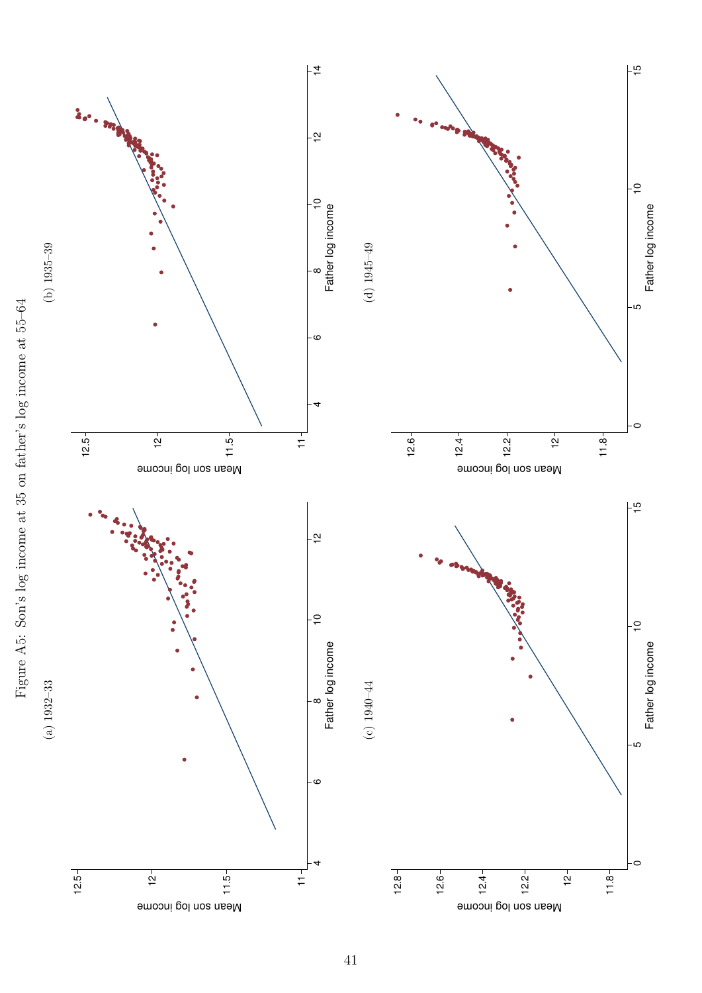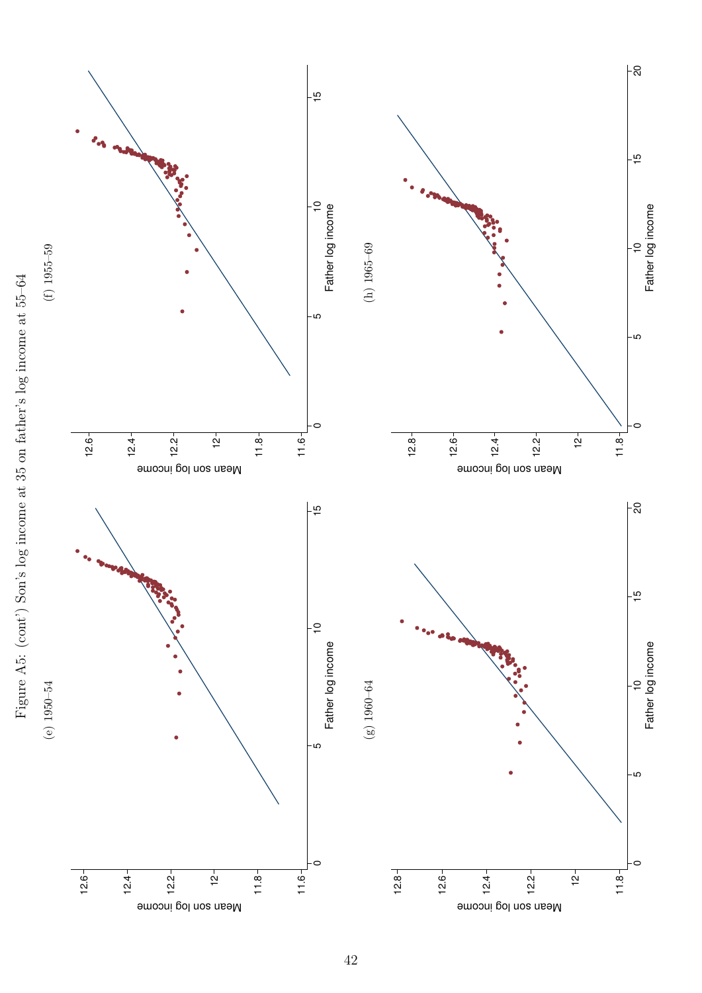

Figure A5: (cont') Son's log income at 35 on father's log income at 55–64 Figure A5: (cont') Son's log income at 35 on father's log income at 55–64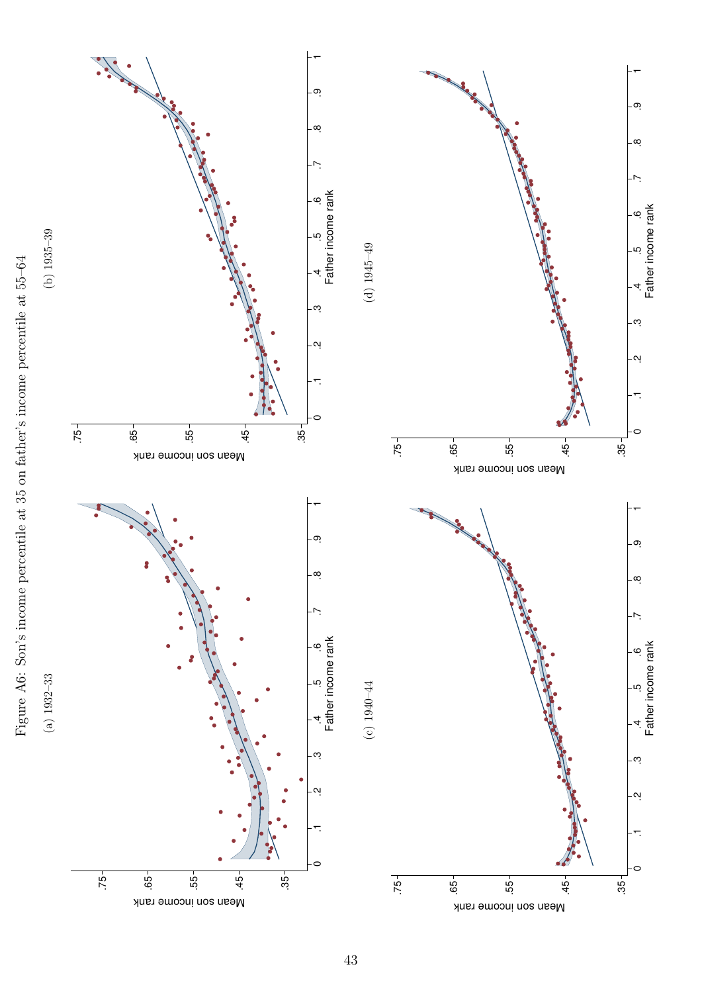

(a) 1932–33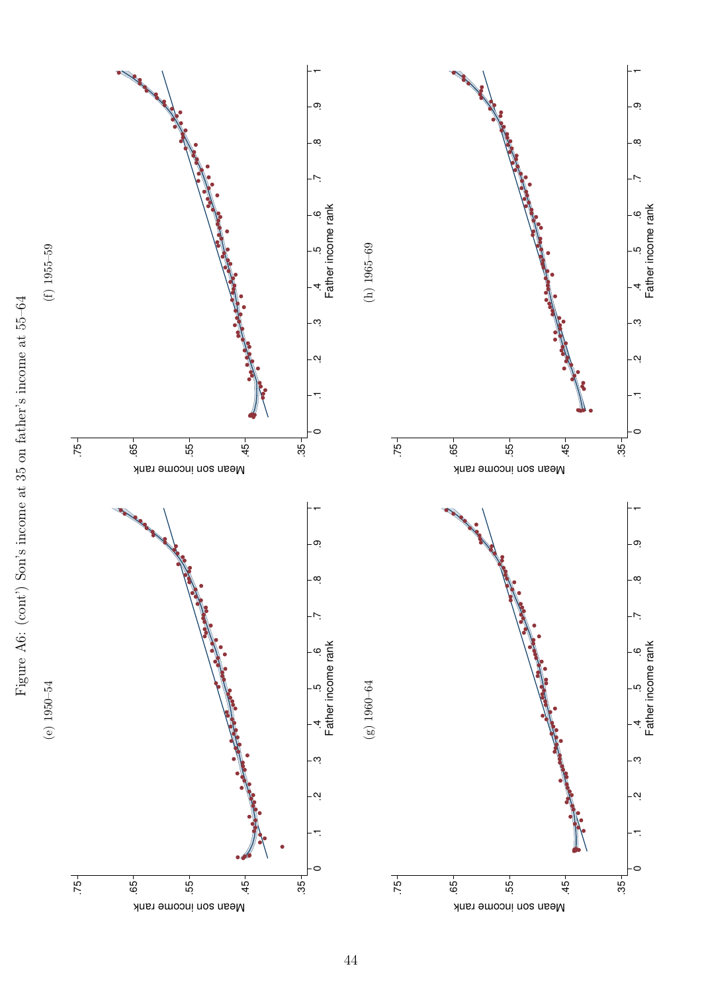



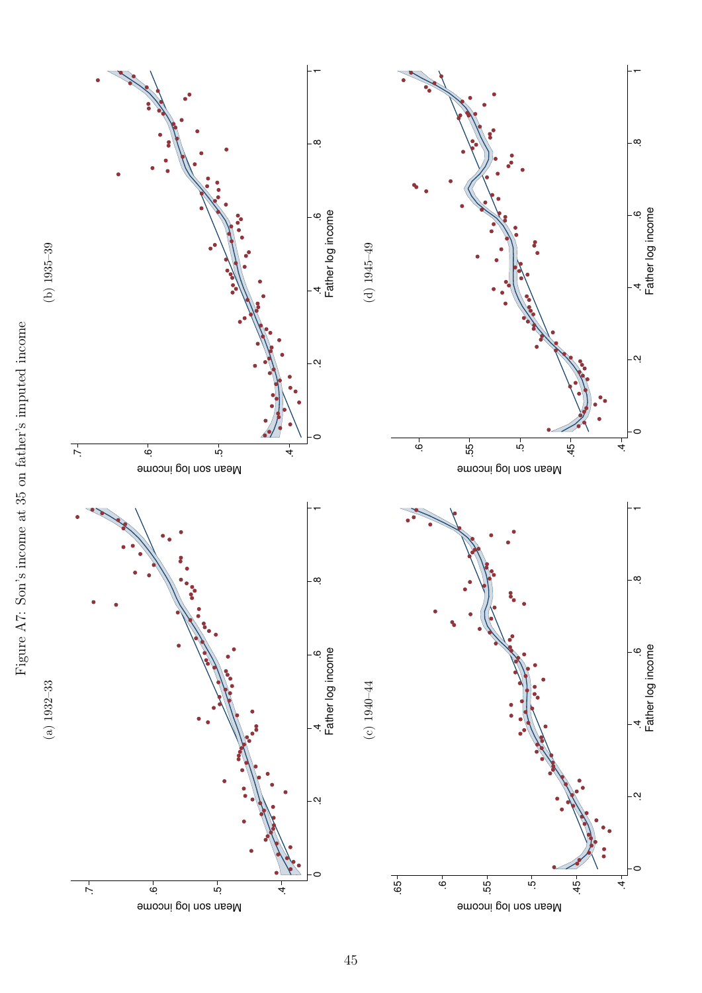

45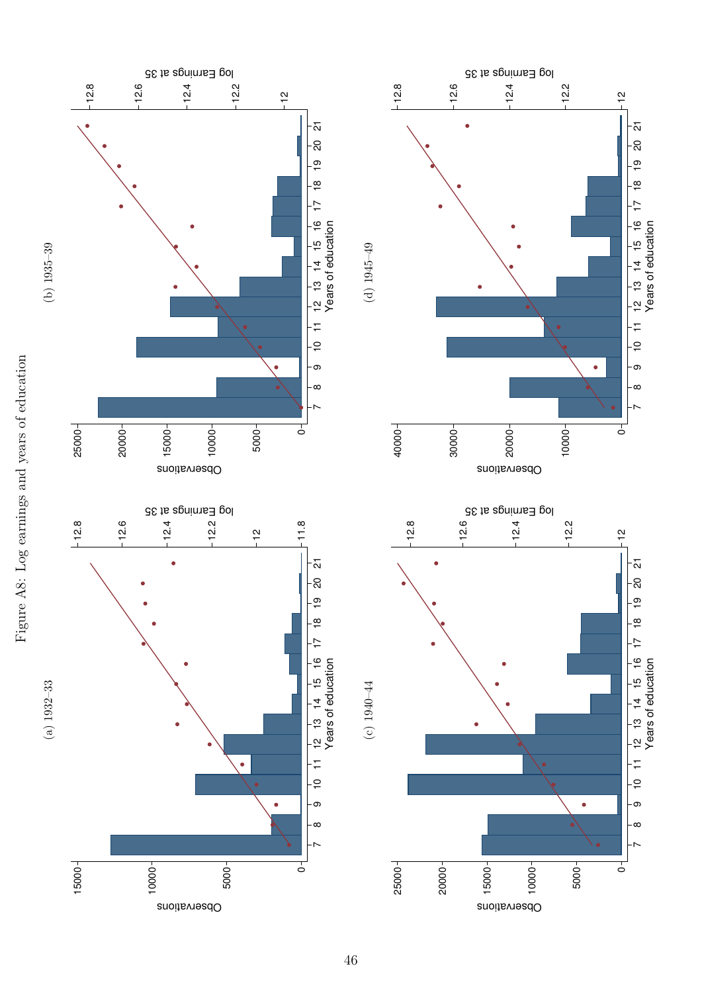



46

12.4

20000

12.4

12.2

12

 $-\frac{1}{2}$ 

-<br>ລ

12.2

10000

12

 $-\frac{1}{2}$ 

 $\frac{1}{\mathbf{C}}$ 

 $\bullet$ 

 $\check{ }$  $-\infty$ - တ

 $\frac{1}{10}$  11

 $\frac{1}{2}$   $\frac{1}{13}$   $\frac{1}{4}$   $\frac{1}{15}$   $\frac{1}{6}$   $\frac{1}{7}$   $\frac{1}{8}$   $\frac{1}{19}$ <br>Years of education

Years of education

 $\overline{\circ}$ 

 $\check{ }$ ∣-∞ - တ

 $-5$ <br> $-11$ 

 $\frac{1}{2}$   $\frac{1}{3}$   $\frac{1}{4}$   $\frac{1}{5}$   $\frac{1}{6}$   $\frac{1}{1}$   $\frac{1}{18}$   $\frac{1}{19}$   $\frac{1}{20}$ <br>Years of education

Years of education

5000

 $\bullet$ 

10000